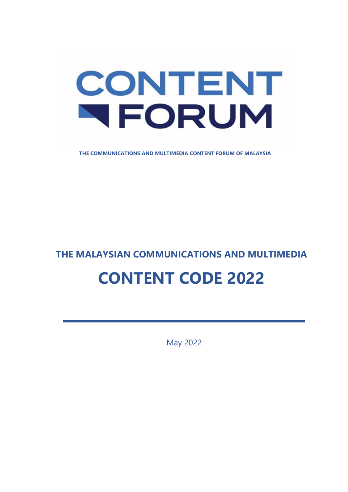# CONTENT NFORUM

**THE COMMUNICATIONS AND MULTIMEDIA CONTENT FORUM OF MALAYSIA**

### **THE MALAYSIAN COMMUNICATIONS AND MULTIMEDIA**

# **CONTENT CODE 2022**

May 2022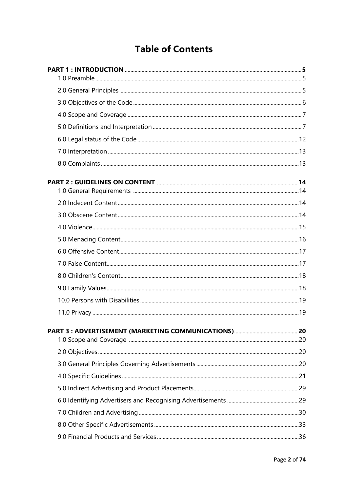## **Table of Contents**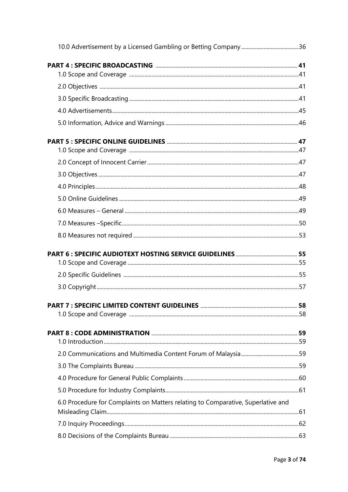| PART 7 : SPECIFIC LIMITED CONTENT GUIDELINES ………………………………………………………………………58       |  |
|----------------------------------------------------------------------------------|--|
|                                                                                  |  |
|                                                                                  |  |
|                                                                                  |  |
|                                                                                  |  |
|                                                                                  |  |
|                                                                                  |  |
|                                                                                  |  |
| 6.0 Procedure for Complaints on Matters relating to Comparative, Superlative and |  |
|                                                                                  |  |
|                                                                                  |  |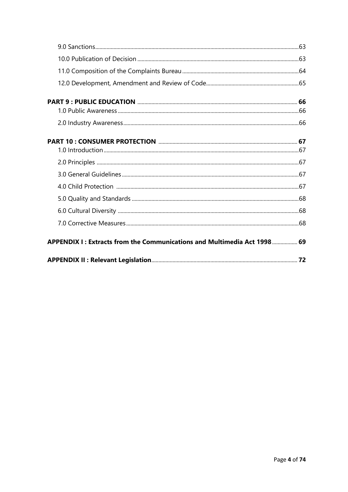| APPENDIX I: Extracts from the Communications and Multimedia Act 1998 69 |  |
|-------------------------------------------------------------------------|--|
|                                                                         |  |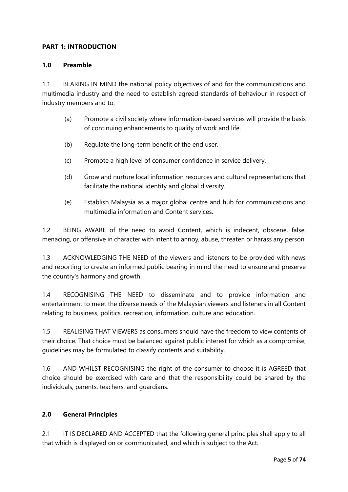#### **PART 1: INTRODUCTION**

#### **1.0 Preamble**

1.1 BEARING IN MIND the national policy objectives of and for the communications and multimedia industry and the need to establish agreed standards of behaviour in respect of industry members and to:

- (a) Promote a civil society where information-based services will provide the basis of continuing enhancements to quality of work and life.
- (b) Regulate the long-term benefit of the end user.
- (c) Promote a high level of consumer confidence in service delivery.
- (d) Grow and nurture local information resources and cultural representations that facilitate the national identity and global diversity.
- (e) Establish Malaysia as a major global centre and hub for communications and multimedia information and Content services.

1.2 BEING AWARE of the need to avoid Content, which is indecent, obscene, false, menacing, or offensive in character with intent to annoy, abuse, threaten or harass any person.

1.3 ACKNOWLEDGING THE NEED of the viewers and listeners to be provided with news and reporting to create an informed public bearing in mind the need to ensure and preserve the country's harmony and growth.

1.4 RECOGNISING THE NEED to disseminate and to provide information and entertainment to meet the diverse needs of the Malaysian viewers and listeners in all Content relating to business, politics, recreation, information, culture and education.

1.5 REALISING THAT VIEWERS as consumers should have the freedom to view contents of their choice. That choice must be balanced against public interest for which as a compromise, guidelines may be formulated to classify contents and suitability.

1.6 AND WHILST RECOGNISING the right of the consumer to choose it is AGREED that choice should be exercised with care and that the responsibility could be shared by the individuals, parents, teachers, and guardians.

#### **2.0 General Principles**

2.1 IT IS DECLARED AND ACCEPTED that the following general principles shall apply to all that which is displayed on or communicated, and which is subject to the Act.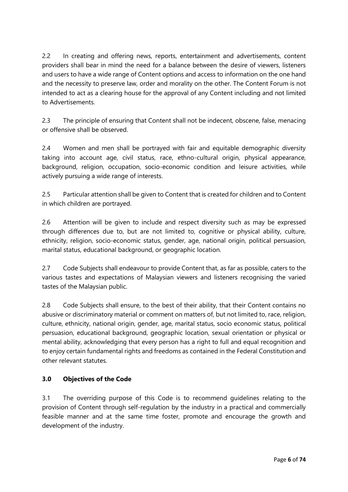2.2 In creating and offering news, reports, entertainment and advertisements, content providers shall bear in mind the need for a balance between the desire of viewers, listeners and users to have a wide range of Content options and access to information on the one hand and the necessity to preserve law, order and morality on the other. The Content Forum is not intended to act as a clearing house for the approval of any Content including and not limited to Advertisements.

2.3 The principle of ensuring that Content shall not be indecent, obscene, false, menacing or offensive shall be observed.

2.4 Women and men shall be portrayed with fair and equitable demographic diversity taking into account age, civil status, race, ethno-cultural origin, physical appearance, background, religion, occupation, socio-economic condition and leisure activities, while actively pursuing a wide range of interests.

2.5 Particular attention shall be given to Content that is created for children and to Content in which children are portrayed.

2.6 Attention will be given to include and respect diversity such as may be expressed through differences due to, but are not limited to, cognitive or physical ability, culture, ethnicity, religion, socio-economic status, gender, age, national origin, political persuasion, marital status, educational background, or geographic location.

2.7 Code Subjects shall endeavour to provide Content that, as far as possible, caters to the various tastes and expectations of Malaysian viewers and listeners recognising the varied tastes of the Malaysian public.

2.8 Code Subjects shall ensure, to the best of their ability, that their Content contains no abusive or discriminatory material or comment on matters of, but not limited to, race, religion, culture, ethnicity, national origin, gender, age, marital status, socio economic status, political persuasion, educational background, geographic location, sexual orientation or physical or mental ability, acknowledging that every person has a right to full and equal recognition and to enjoy certain fundamental rights and freedoms as contained in the Federal Constitution and other relevant statutes.

#### **3.0 Objectives of the Code**

3.1 The overriding purpose of this Code is to recommend guidelines relating to the provision of Content through self-regulation by the industry in a practical and commercially feasible manner and at the same time foster, promote and encourage the growth and development of the industry.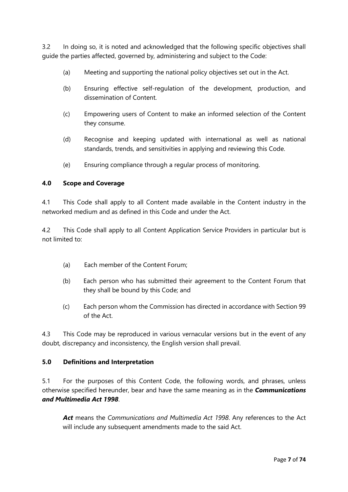3.2 In doing so, it is noted and acknowledged that the following specific objectives shall guide the parties affected, governed by, administering and subject to the Code:

- (a) Meeting and supporting the national policy objectives set out in the Act.
- (b) Ensuring effective self-regulation of the development, production, and dissemination of Content.
- (c) Empowering users of Content to make an informed selection of the Content they consume.
- (d) Recognise and keeping updated with international as well as national standards, trends, and sensitivities in applying and reviewing this Code.
- (e) Ensuring compliance through a regular process of monitoring.

#### **4.0 Scope and Coverage**

4.1 This Code shall apply to all Content made available in the Content industry in the networked medium and as defined in this Code and under the Act.

4.2 This Code shall apply to all Content Application Service Providers in particular but is not limited to:

- (a) Each member of the Content Forum;
- (b) Each person who has submitted their agreement to the Content Forum that they shall be bound by this Code; and
- (c) Each person whom the Commission has directed in accordance with Section 99 of the Act.

4.3 This Code may be reproduced in various vernacular versions but in the event of any doubt, discrepancy and inconsistency, the English version shall prevail.

#### **5.0 Definitions and Interpretation**

5.1 For the purposes of this Content Code, the following words, and phrases, unless otherwise specified hereunder, bear and have the same meaning as in the *Communications and Multimedia Act 1998*.

*Act* means the *Communications and Multimedia Act 1998*. Any references to the Act will include any subsequent amendments made to the said Act.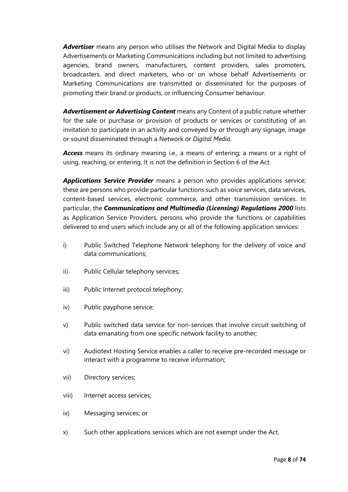*Advertiser* means any person who utilises the Network and Digital Media to display Advertisements or Marketing Communications including but not limited to advertising agencies, brand owners, manufacturers, content providers, sales promoters, broadcasters, and direct marketers, who or on whose behalf Advertisements or Marketing Communications are transmitted or disseminated for the purposes of promoting their brand or products, or influencing Consumer behaviour.

*Advertisement or Advertising Content* means any Content of a public nature whether for the sale or purchase or provision of products or services or constituting of an invitation to participate in an activity and conveyed by or through any signage, image or sound disseminated through a Network or *Digital Media*.

*Access* means its ordinary meaning i.e., a means of entering; a means or a right of using, reaching, or entering. It is not the definition in Section 6 of the Act.

*Applications Service Provider* means a person who provides applications service; these are persons who provide particular functions such as voice services, data services, content-based services, electronic commerce, and other transmission services. In particular, the *Communications and Multimedia (Licensing) Regulations 2000* lists as Application Service Providers, persons who provide the functions or capabilities delivered to end users which include any or all of the following application services:

- i) Public Switched Telephone Network telephony for the delivery of voice and data communications;
- ii) Public Cellular telephony services;
- iii) Public Internet protocol telephony;
- iv) Public payphone service;
- v) Public switched data service for non-services that involve circuit switching of data emanating from one specific network facility to another;
- vi) Audiotext Hosting Service enables a caller to receive pre-recorded message or interact with a programme to receive information;
- vii) Directory services;
- viii) Internet access services;
- ix) Messaging services; or
- x) Such other applications services which are not exempt under the Act.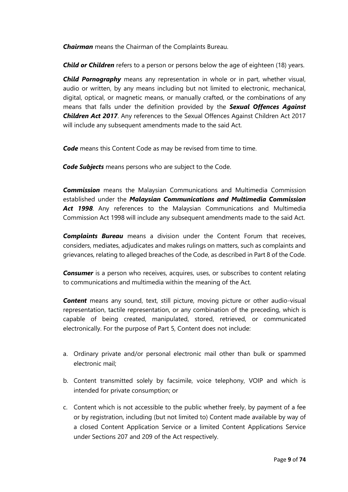*Chairman* means the Chairman of the Complaints Bureau.

*Child or Children* refers to a person or persons below the age of eighteen (18) years.

*Child Pornography* means any representation in whole or in part, whether visual, audio or written, by any means including but not limited to electronic, mechanical, digital, optical, or magnetic means, or manually crafted, or the combinations of any means that falls under the definition provided by the *Sexual Offences Against Children Act 2017*. Any references to the Sexual Offences Against Children Act 2017 will include any subsequent amendments made to the said Act.

**Code** means this Content Code as may be revised from time to time.

*Code Subjects* means persons who are subject to the Code.

*Commission* means the Malaysian Communications and Multimedia Commission established under the *Malaysian Communications and Multimedia Commission Act 1998*. Any references to the Malaysian Communications and Multimedia Commission Act 1998 will include any subsequent amendments made to the said Act.

*Complaints Bureau* means a division under the Content Forum that receives, considers, mediates, adjudicates and makes rulings on matters, such as complaints and grievances, relating to alleged breaches of the Code, as described in Part 8 of the Code.

**Consumer** is a person who receives, acquires, uses, or subscribes to content relating to communications and multimedia within the meaning of the Act.

*Content* means any sound, text, still picture, moving picture or other audio-visual representation, tactile representation, or any combination of the preceding, which is capable of being created, manipulated, stored, retrieved, or communicated electronically. For the purpose of Part 5, Content does not include:

- a. Ordinary private and/or personal electronic mail other than bulk or spammed electronic mail;
- b. Content transmitted solely by facsimile, voice telephony, VOIP and which is intended for private consumption; or
- c. Content which is not accessible to the public whether freely, by payment of a fee or by registration, including (but not limited to) Content made available by way of a closed Content Application Service or a limited Content Applications Service under Sections 207 and 209 of the Act respectively.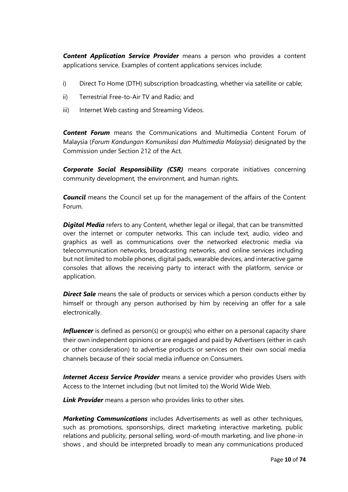*Content Application Service Provider* means a person who provides a content applications service. Examples of content applications services include:

- i) Direct To Home (DTH) subscription broadcasting, whether via satellite or cable;
- ii) Terrestrial Free-to-Air TV and Radio; and
- iii) Internet Web casting and Streaming Videos.

*Content Forum* means the Communications and Multimedia Content Forum of Malaysia (*Forum Kandungan Komunikasi dan Multimedia Malaysia*) designated by the Commission under Section 212 of the Act.

*Corporate Social Responsibility (CSR)* means corporate initiatives concerning community development, the environment, and human rights.

**Council** means the Council set up for the management of the affairs of the Content Forum.

*Digital Media* refers to any Content, whether legal or illegal, that can be transmitted over the internet or computer networks. This can include text, audio, video and graphics as well as communications over the networked electronic media via telecommunication networks, broadcasting networks, and online services including but not limited to mobile phones, digital pads, wearable devices, and interactive game consoles that allows the receiving party to interact with the platform, service or application.

**Direct Sale** means the sale of products or services which a person conducts either by himself or through any person authorised by him by receiving an offer for a sale electronically.

**Influencer** is defined as person(s) or group(s) who either on a personal capacity share their own independent opinions or are engaged and paid by Advertisers (either in cash or other consideration) to advertise products or services on their own social media channels because of their social media influence on Consumers.

*Internet Access Service Provider* means a service provider who provides Users with Access to the Internet including (but not limited to) the World Wide Web.

*Link Provider* means a person who provides links to other sites.

*Marketing Communications* includes Advertisements as well as other techniques, such as promotions, sponsorships, direct marketing interactive marketing, public relations and publicity, personal selling, word-of-mouth marketing, and live phone-in shows , and should be interpreted broadly to mean any communications produced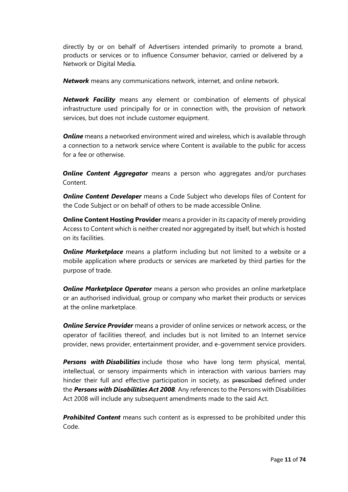directly by or on behalf of Advertisers intended primarily to promote a brand, products or services or to influence Consumer behavior, carried or delivered by a Network or Digital Media.

*Network* means any communications network, internet, and online network.

*Network Facility* means any element or combination of elements of physical infrastructure used principally for or in connection with, the provision of network services, but does not include customer equipment.

**Online** means a networked environment wired and wireless, which is available through a connection to a network service where Content is available to the public for access for a fee or otherwise.

*Online Content Aggregator* means a person who aggregates and/or purchases Content.

*Online Content Developer* means a Code Subject who develops files of Content for the Code Subject or on behalf of others to be made accessible Online.

**Online Content Hosting Provider** means a provider in its capacity of merely providing Access to Content which is neither created nor aggregated by itself, but which is hosted on its facilities.

**Online Marketplace** means a platform including but not limited to a website or a mobile application where products or services are marketed by third parties for the purpose of trade.

**Online Marketplace Operator** means a person who provides an online marketplace or an authorised individual, group or company who market their products or services at the online marketplace.

*Online Service Provider* means a provider of online services or network access, or the operator of facilities thereof, and includes but is not limited to an Internet service provider, news provider, entertainment provider, and e-government service providers.

*Persons with Disabilities* include those who have long term physical, mental, intellectual, or sensory impairments which in interaction with various barriers may hinder their full and effective participation in society, as prescribed defined under the *Persons with Disabilities Act 2008.* Any references to the Persons with Disabilities Act 2008 will include any subsequent amendments made to the said Act.

*Prohibited Content* means such content as is expressed to be prohibited under this Code.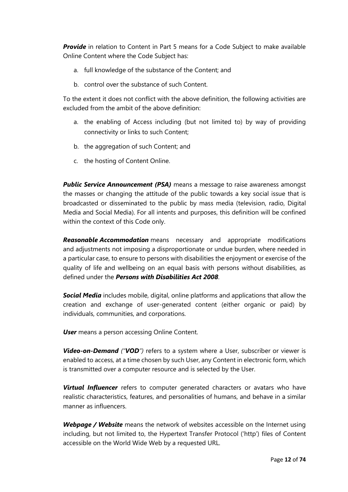**Provide** in relation to Content in Part 5 means for a Code Subject to make available Online Content where the Code Subject has:

- a. full knowledge of the substance of the Content; and
- b. control over the substance of such Content.

To the extent it does not conflict with the above definition, the following activities are excluded from the ambit of the above definition:

- a. the enabling of Access including (but not limited to) by way of providing connectivity or links to such Content;
- b. the aggregation of such Content; and
- c. the hosting of Content Online.

**Public Service Announcement (PSA)** means a message to raise awareness amongst the masses or changing the attitude of the public towards a key social issue that is broadcasted or disseminated to the public by mass media (television, radio, Digital Media and Social Media). For all intents and purposes, this definition will be confined within the context of this Code only.

*Reasonable Accommodation* means necessary and appropriate modifications and adjustments not imposing a disproportionate or undue burden, where needed in a particular case, to ensure to persons with disabilities the enjoyment or exercise of the quality of life and wellbeing on an equal basis with persons without disabilities, as defined under the *Persons with Disabilities Act 2008*.

*Social Media* includes mobile, digital, online platforms and applications that allow the creation and exchange of user-generated content (either organic or paid) by individuals, communities, and corporations.

*User* means a person accessing Online Content.

*Video-on-Demand ("VOD")* refers to a system where a User, subscriber or viewer is enabled to access, at a time chosen by such User, any Content in electronic form, which is transmitted over a computer resource and is selected by the User.

**Virtual Influencer** refers to computer generated characters or avatars who have realistic characteristics, features, and personalities of humans, and behave in a similar manner as influencers.

*Webpage / Website* means the network of websites accessible on the Internet using including, but not limited to, the Hypertext Transfer Protocol ('http') files of Content accessible on the World Wide Web by a requested URL.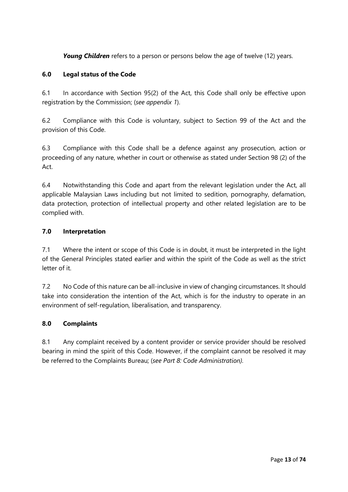**Young Children** refers to a person or persons below the age of twelve (12) years.

#### **6.0 Legal status of the Code**

6.1 In accordance with Section 95(2) of the Act, this Code shall only be effective upon registration by the Commission; (*see appendix 1*).

6.2 Compliance with this Code is voluntary, subject to Section 99 of the Act and the provision of this Code.

6.3 Compliance with this Code shall be a defence against any prosecution, action or proceeding of any nature, whether in court or otherwise as stated under Section 98 (2) of the Act.

6.4 Notwithstanding this Code and apart from the relevant legislation under the Act, all applicable Malaysian Laws including but not limited to sedition, pornography, defamation, data protection, protection of intellectual property and other related legislation are to be complied with.

#### **7.0 Interpretation**

7.1 Where the intent or scope of this Code is in doubt, it must be interpreted in the light of the General Principles stated earlier and within the spirit of the Code as well as the strict letter of it.

7.2 No Code of this nature can be all-inclusive in view of changing circumstances. It should take into consideration the intention of the Act, which is for the industry to operate in an environment of self-regulation, liberalisation, and transparency.

#### **8.0 Complaints**

8.1 Any complaint received by a content provider or service provider should be resolved bearing in mind the spirit of this Code. However, if the complaint cannot be resolved it may be referred to the Complaints Bureau; (*see Part 8: Code Administration).*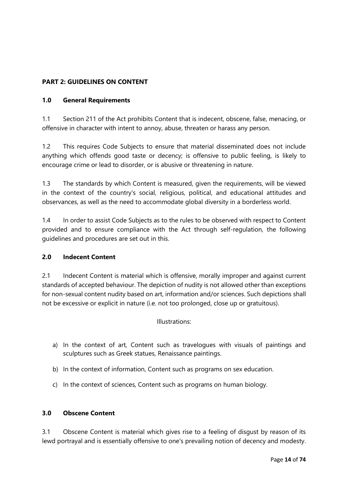#### **PART 2: GUIDELINES ON CONTENT**

#### **1.0 General Requirements**

1.1 Section 211 of the Act prohibits Content that is indecent, obscene, false, menacing, or offensive in character with intent to annoy, abuse, threaten or harass any person.

1.2 This requires Code Subjects to ensure that material disseminated does not include anything which offends good taste or decency; is offensive to public feeling, is likely to encourage crime or lead to disorder, or is abusive or threatening in nature.

1.3 The standards by which Content is measured, given the requirements, will be viewed in the context of the country's social, religious, political, and educational attitudes and observances, as well as the need to accommodate global diversity in a borderless world.

1.4 In order to assist Code Subjects as to the rules to be observed with respect to Content provided and to ensure compliance with the Act through self-regulation, the following guidelines and procedures are set out in this.

#### **2.0 Indecent Content**

2.1 Indecent Content is material which is offensive, morally improper and against current standards of accepted behaviour. The depiction of nudity is not allowed other than exceptions for non-sexual content nudity based on art, information and/or sciences. Such depictions shall not be excessive or explicit in nature (i.e. not too prolonged, close up or gratuitous).

#### Illustrations:

- a) In the context of art, Content such as travelogues with visuals of paintings and sculptures such as Greek statues, Renaissance paintings.
- b) In the context of information, Content such as programs on sex education.
- c) In the context of sciences, Content such as programs on human biology.

#### **3.0 Obscene Content**

3.1 Obscene Content is material which gives rise to a feeling of disgust by reason of its lewd portrayal and is essentially offensive to one's prevailing notion of decency and modesty.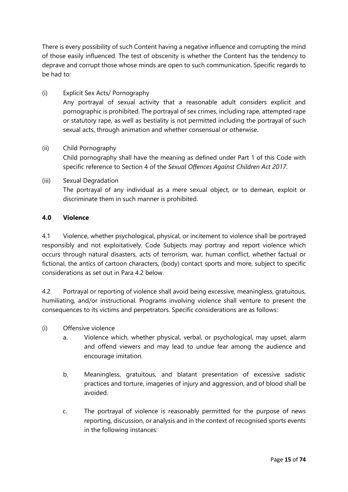There is every possibility of such Content having a negative influence and corrupting the mind of those easily influenced. The test of obscenity is whether the Content has the tendency to deprave and corrupt those whose minds are open to such communication. Specific regards to be had to:

(i) Explicit Sex Acts/ Pornography Any portrayal of sexual activity that a reasonable adult considers explicit and pornographic is prohibited. The portrayal of sex crimes, including rape, attempted rape or statutory rape, as well as bestiality is not permitted including the portrayal of such sexual acts, through animation and whether consensual or otherwise.

#### (ii) Child Pornography

Child pornography shall have the meaning as defined under Part 1 of this Code with specific reference to Section 4 of the *Sexual Offences Against Children Act 2017*.

#### (iii) Sexual Degradation The portrayal of any individual as a mere sexual object, or to demean, exploit or discriminate them in such manner is prohibited.

#### **4.0 Violence**

4.1 Violence, whether psychological, physical, or incitement to violence shall be portrayed responsibly and not exploitatively. Code Subjects may portray and report violence which occurs through natural disasters, acts of terrorism, war, human conflict, whether factual or fictional, the antics of cartoon characters, (body) contact sports and more, subject to specific considerations as set out in Para 4.2 below.

4.2 Portrayal or reporting of violence shall avoid being excessive, meaningless, gratuitous, humiliating, and/or instructional. Programs involving violence shall venture to present the consequences to its victims and perpetrators. Specific considerations are as follows:

- (i) Offensive violence
	- a. Violence which, whether physical, verbal, or psychological, may upset, alarm and offend viewers and may lead to undue fear among the audience and encourage imitation.
	- b. Meaningless, gratuitous, and blatant presentation of excessive sadistic practices and torture, imageries of injury and aggression, and of blood shall be avoided.
	- c. The portrayal of violence is reasonably permitted for the purpose of news reporting, discussion, or analysis and in the context of recognised sports events in the following instances: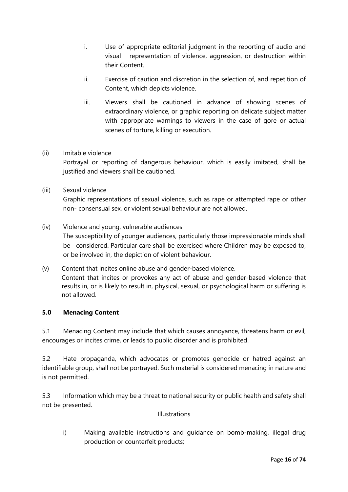- i. Use of appropriate editorial judgment in the reporting of audio and visual representation of violence, aggression, or destruction within their Content.
- ii. Exercise of caution and discretion in the selection of, and repetition of Content, which depicts violence.
- iii. Viewers shall be cautioned in advance of showing scenes of extraordinary violence, or graphic reporting on delicate subject matter with appropriate warnings to viewers in the case of gore or actual scenes of torture, killing or execution.

#### (ii) Imitable violence

Portrayal or reporting of dangerous behaviour, which is easily imitated, shall be justified and viewers shall be cautioned.

#### (iii) Sexual violence

Graphic representations of sexual violence, such as rape or attempted rape or other non- consensual sex, or violent sexual behaviour are not allowed.

- (iv) Violence and young, vulnerable audiences The susceptibility of younger audiences, particularly those impressionable minds shall be considered. Particular care shall be exercised where Children may be exposed to, or be involved in, the depiction of violent behaviour.
- (v) Content that incites online abuse and gender-based violence. Content that incites or provokes any act of abuse and gender-based violence that results in, or is likely to result in, physical, sexual, or psychological harm or suffering is not allowed.

#### **5.0 Menacing Content**

5.1 Menacing Content may include that which causes annoyance, threatens harm or evil, encourages or incites crime, or leads to public disorder and is prohibited.

5.2 Hate propaganda, which advocates or promotes genocide or hatred against an identifiable group, shall not be portrayed. Such material is considered menacing in nature and is not permitted.

5.3 Information which may be a threat to national security or public health and safety shall not be presented.

#### Illustrations

i) Making available instructions and guidance on bomb-making, illegal drug production or counterfeit products;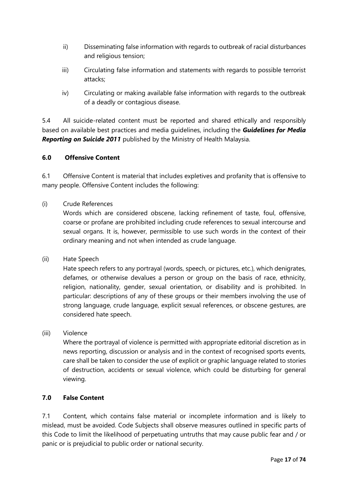- ii) Disseminating false information with regards to outbreak of racial disturbances and religious tension;
- iii) Circulating false information and statements with regards to possible terrorist attacks;
- iv) Circulating or making available false information with regards to the outbreak of a deadly or contagious disease.

5.4 All suicide-related content must be reported and shared ethically and responsibly based on available best practices and media guidelines, including the *Guidelines for Media Reporting on Suicide 2011* published by the Ministry of Health Malaysia.

#### **6.0 Offensive Content**

6.1 Offensive Content is material that includes expletives and profanity that is offensive to many people. Offensive Content includes the following:

#### (i) Crude References

Words which are considered obscene, lacking refinement of taste, foul, offensive, coarse or profane are prohibited including crude references to sexual intercourse and sexual organs. It is, however, permissible to use such words in the context of their ordinary meaning and not when intended as crude language.

(ii) Hate Speech

Hate speech refers to any portrayal (words, speech, or pictures, etc.), which denigrates, defames, or otherwise devalues a person or group on the basis of race, ethnicity, religion, nationality, gender, sexual orientation, or disability and is prohibited. In particular: descriptions of any of these groups or their members involving the use of strong language, crude language, explicit sexual references, or obscene gestures, are considered hate speech.

#### (iii) Violence

Where the portrayal of violence is permitted with appropriate editorial discretion as in news reporting, discussion or analysis and in the context of recognised sports events, care shall be taken to consider the use of explicit or graphic language related to stories of destruction, accidents or sexual violence, which could be disturbing for general viewing.

#### **7.0 False Content**

7.1 Content, which contains false material or incomplete information and is likely to mislead, must be avoided. Code Subjects shall observe measures outlined in specific parts of this Code to limit the likelihood of perpetuating untruths that may cause public fear and / or panic or is prejudicial to public order or national security.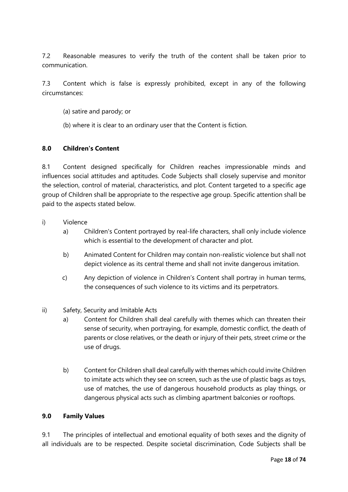7.2 Reasonable measures to verify the truth of the content shall be taken prior to communication.

7.3 Content which is false is expressly prohibited, except in any of the following circumstances:

- (a) satire and parody; or
- (b) where it is clear to an ordinary user that the Content is fiction.

#### **8.0 Children's Content**

8.1 Content designed specifically for Children reaches impressionable minds and influences social attitudes and aptitudes. Code Subjects shall closely supervise and monitor the selection, control of material, characteristics, and plot. Content targeted to a specific age group of Children shall be appropriate to the respective age group. Specific attention shall be paid to the aspects stated below.

- i) Violence
	- a) Children's Content portrayed by real-life characters, shall only include violence which is essential to the development of character and plot.
	- b) Animated Content for Children may contain non-realistic violence but shall not depict violence as its central theme and shall not invite dangerous imitation.
	- c) Any depiction of violence in Children's Content shall portray in human terms, the consequences of such violence to its victims and its perpetrators.
- ii) Safety, Security and Imitable Acts
	- a) Content for Children shall deal carefully with themes which can threaten their sense of security, when portraying, for example, domestic conflict, the death of parents or close relatives, or the death or injury of their pets, street crime or the use of drugs.
	- b) Content for Children shall deal carefully with themes which could invite Children to imitate acts which they see on screen, such as the use of plastic bags as toys, use of matches, the use of dangerous household products as play things, or dangerous physical acts such as climbing apartment balconies or rooftops.

#### **9.0 Family Values**

9.1 The principles of intellectual and emotional equality of both sexes and the dignity of all individuals are to be respected. Despite societal discrimination, Code Subjects shall be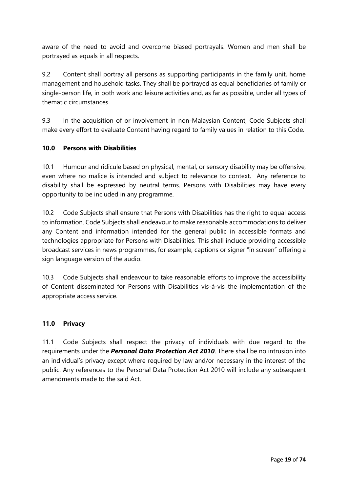aware of the need to avoid and overcome biased portrayals. Women and men shall be portrayed as equals in all respects.

9.2 Content shall portray all persons as supporting participants in the family unit, home management and household tasks. They shall be portrayed as equal beneficiaries of family or single-person life, in both work and leisure activities and, as far as possible, under all types of thematic circumstances.

9.3 In the acquisition of or involvement in non-Malaysian Content, Code Subjects shall make every effort to evaluate Content having regard to family values in relation to this Code.

#### **10.0 Persons with Disabilities**

10.1 Humour and ridicule based on physical, mental, or sensory disability may be offensive, even where no malice is intended and subject to relevance to context. Any reference to disability shall be expressed by neutral terms. Persons with Disabilities may have every opportunity to be included in any programme.

10.2 Code Subjects shall ensure that Persons with Disabilities has the right to equal access to information. Code Subjects shall endeavour to make reasonable accommodations to deliver any Content and information intended for the general public in accessible formats and technologies appropriate for Persons with Disabilities. This shall include providing accessible broadcast services in news programmes, for example, captions or signer "in screen" offering a sign language version of the audio.

10.3 Code Subjects shall endeavour to take reasonable efforts to improve the accessibility of Content disseminated for Persons with Disabilities vis-à-vis the implementation of the appropriate access service.

#### **11.0 Privacy**

11.1 Code Subjects shall respect the privacy of individuals with due regard to the requirements under the *Personal Data Protection Act 2010*. There shall be no intrusion into an individual's privacy except where required by law and/or necessary in the interest of the public. Any references to the Personal Data Protection Act 2010 will include any subsequent amendments made to the said Act.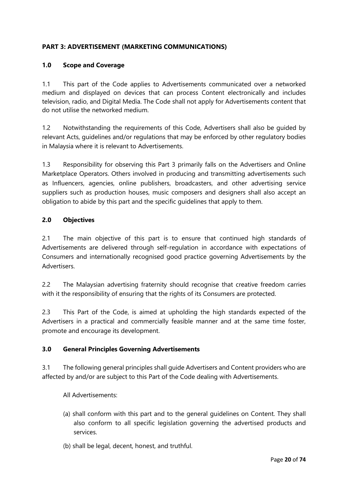#### **PART 3: ADVERTISEMENT (MARKETING COMMUNICATIONS)**

#### **1.0 Scope and Coverage**

1.1 This part of the Code applies to Advertisements communicated over a networked medium and displayed on devices that can process Content electronically and includes television, radio, and Digital Media. The Code shall not apply for Advertisements content that do not utilise the networked medium.

1.2 Notwithstanding the requirements of this Code, Advertisers shall also be guided by relevant Acts, guidelines and/or regulations that may be enforced by other regulatory bodies in Malaysia where it is relevant to Advertisements.

1.3 Responsibility for observing this Part 3 primarily falls on the Advertisers and Online Marketplace Operators. Others involved in producing and transmitting advertisements such as Influencers, agencies, online publishers, broadcasters, and other advertising service suppliers such as production houses, music composers and designers shall also accept an obligation to abide by this part and the specific guidelines that apply to them.

#### **2.0 Objectives**

2.1 The main objective of this part is to ensure that continued high standards of Advertisements are delivered through self-regulation in accordance with expectations of Consumers and internationally recognised good practice governing Advertisements by the Advertisers.

2.2 The Malaysian advertising fraternity should recognise that creative freedom carries with it the responsibility of ensuring that the rights of its Consumers are protected.

2.3 This Part of the Code, is aimed at upholding the high standards expected of the Advertisers in a practical and commercially feasible manner and at the same time foster, promote and encourage its development.

#### **3.0 General Principles Governing Advertisements**

3.1 The following general principles shall guide Advertisers and Content providers who are affected by and/or are subject to this Part of the Code dealing with Advertisements.

All Advertisements:

- (a) shall conform with this part and to the general guidelines on Content. They shall also conform to all specific legislation governing the advertised products and services.
- (b) shall be legal, decent, honest, and truthful.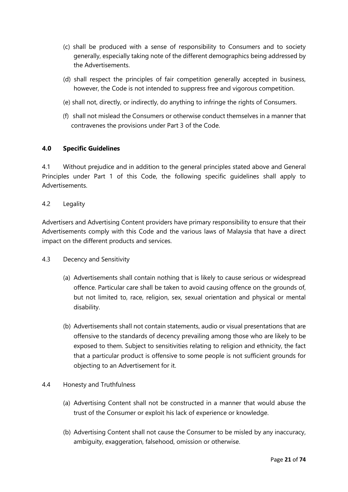- (c) shall be produced with a sense of responsibility to Consumers and to society generally, especially taking note of the different demographics being addressed by the Advertisements.
- (d) shall respect the principles of fair competition generally accepted in business, however, the Code is not intended to suppress free and vigorous competition.
- (e) shall not, directly, or indirectly, do anything to infringe the rights of Consumers.
- (f) shall not mislead the Consumers or otherwise conduct themselves in a manner that contravenes the provisions under Part 3 of the Code.

#### **4.0 Specific Guidelines**

4.1 Without prejudice and in addition to the general principles stated above and General Principles under Part 1 of this Code, the following specific guidelines shall apply to Advertisements.

#### 4.2 Legality

Advertisers and Advertising Content providers have primary responsibility to ensure that their Advertisements comply with this Code and the various laws of Malaysia that have a direct impact on the different products and services.

#### 4.3 Decency and Sensitivity

- (a) Advertisements shall contain nothing that is likely to cause serious or widespread offence. Particular care shall be taken to avoid causing offence on the grounds of, but not limited to, race, religion, sex, sexual orientation and physical or mental disability.
- (b) Advertisements shall not contain statements, audio or visual presentations that are offensive to the standards of decency prevailing among those who are likely to be exposed to them. Subject to sensitivities relating to religion and ethnicity, the fact that a particular product is offensive to some people is not sufficient grounds for objecting to an Advertisement for it.

#### 4.4 Honesty and Truthfulness

- (a) Advertising Content shall not be constructed in a manner that would abuse the trust of the Consumer or exploit his lack of experience or knowledge.
- (b) Advertising Content shall not cause the Consumer to be misled by any inaccuracy, ambiguity, exaggeration, falsehood, omission or otherwise.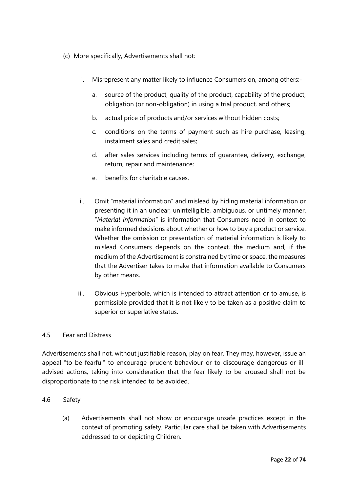- (c) More specifically, Advertisements shall not:
	- i. Misrepresent any matter likely to influence Consumers on, among others:
		- a. source of the product, quality of the product, capability of the product, obligation (or non-obligation) in using a trial product, and others;
		- b. actual price of products and/or services without hidden costs;
		- c. conditions on the terms of payment such as hire-purchase, leasing, instalment sales and credit sales;
		- d. after sales services including terms of guarantee, delivery, exchange, return, repair and maintenance;
		- e. benefits for charitable causes.
	- ii. Omit "material information" and mislead by hiding material information or presenting it in an unclear, unintelligible, ambiguous, or untimely manner. "*Material information*" is information that Consumers need in context to make informed decisions about whether or how to buy a product or service. Whether the omission or presentation of material information is likely to mislead Consumers depends on the context, the medium and, if the medium of the Advertisement is constrained by time or space, the measures that the Advertiser takes to make that information available to Consumers by other means.
	- iii. Obvious Hyperbole, which is intended to attract attention or to amuse, is permissible provided that it is not likely to be taken as a positive claim to superior or superlative status.

#### 4.5 Fear and Distress

Advertisements shall not, without justifiable reason, play on fear. They may, however, issue an appeal "to be fearful" to encourage prudent behaviour or to discourage dangerous or illadvised actions, taking into consideration that the fear likely to be aroused shall not be disproportionate to the risk intended to be avoided.

#### 4.6 Safety

(a) Advertisements shall not show or encourage unsafe practices except in the context of promoting safety. Particular care shall be taken with Advertisements addressed to or depicting Children.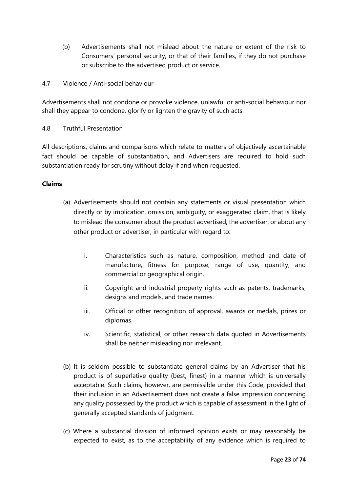- (b) Advertisements shall not mislead about the nature or extent of the risk to Consumers' personal security, or that of their families, if they do not purchase or subscribe to the advertised product or service.
- 4.7 Violence / Anti-social behaviour

Advertisements shall not condone or provoke violence, unlawful or anti-social behaviour nor shall they appear to condone, glorify or lighten the gravity of such acts.

4.8 Truthful Presentation

All descriptions, claims and comparisons which relate to matters of objectively ascertainable fact should be capable of substantiation, and Advertisers are required to hold such substantiation ready for scrutiny without delay if and when requested.

#### **Claims**

- (a) Advertisements should not contain any statements or visual presentation which directly or by implication, omission, ambiguity, or exaggerated claim, that is likely to mislead the consumer about the product advertised, the advertiser, or about any other product or advertiser, in particular with regard to:
	- i. Characteristics such as nature, composition, method and date of manufacture, fitness for purpose, range of use, quantity, and commercial or geographical origin.
	- ii. Copyright and industrial property rights such as patents, trademarks, designs and models, and trade names.
	- iii. Official or other recognition of approval, awards or medals, prizes or diplomas.
	- iv. Scientific, statistical, or other research data quoted in Advertisements shall be neither misleading nor irrelevant.
- (b) It is seldom possible to substantiate general claims by an Advertiser that his product is of superlative quality (best, finest) in a manner which is universally acceptable. Such claims, however, are permissible under this Code, provided that their inclusion in an Advertisement does not create a false impression concerning any quality possessed by the product which is capable of assessment in the light of generally accepted standards of judgment.
- (c) Where a substantial division of informed opinion exists or may reasonably be expected to exist, as to the acceptability of any evidence which is required to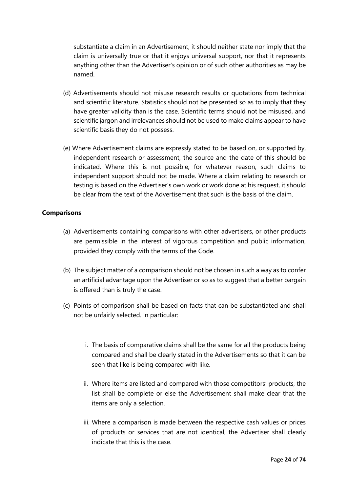substantiate a claim in an Advertisement, it should neither state nor imply that the claim is universally true or that it enjoys universal support, nor that it represents anything other than the Advertiser's opinion or of such other authorities as may be named.

- (d) Advertisements should not misuse research results or quotations from technical and scientific literature. Statistics should not be presented so as to imply that they have greater validity than is the case. Scientific terms should not be misused, and scientific jargon and irrelevances should not be used to make claims appear to have scientific basis they do not possess.
- (e) Where Advertisement claims are expressly stated to be based on, or supported by, independent research or assessment, the source and the date of this should be indicated. Where this is not possible, for whatever reason, such claims to independent support should not be made. Where a claim relating to research or testing is based on the Advertiser's own work or work done at his request, it should be clear from the text of the Advertisement that such is the basis of the claim.

#### **Comparisons**

- (a) Advertisements containing comparisons with other advertisers, or other products are permissible in the interest of vigorous competition and public information, provided they comply with the terms of the Code.
- (b) The subject matter of a comparison should not be chosen in such a way as to confer an artificial advantage upon the Advertiser or so as to suggest that a better bargain is offered than is truly the case.
- (c) Points of comparison shall be based on facts that can be substantiated and shall not be unfairly selected. In particular:
	- i. The basis of comparative claims shall be the same for all the products being compared and shall be clearly stated in the Advertisements so that it can be seen that like is being compared with like.
	- ii. Where items are listed and compared with those competitors' products, the list shall be complete or else the Advertisement shall make clear that the items are only a selection.
	- iii. Where a comparison is made between the respective cash values or prices of products or services that are not identical, the Advertiser shall clearly indicate that this is the case.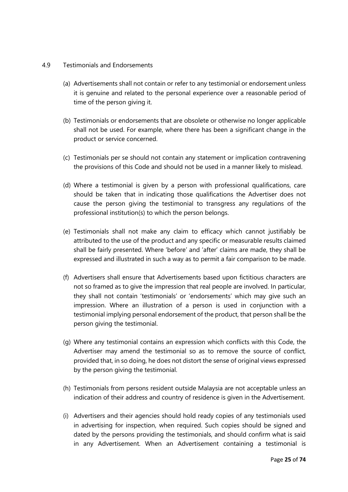#### 4.9 Testimonials and Endorsements

- (a) Advertisements shall not contain or refer to any testimonial or endorsement unless it is genuine and related to the personal experience over a reasonable period of time of the person giving it.
- (b) Testimonials or endorsements that are obsolete or otherwise no longer applicable shall not be used. For example, where there has been a significant change in the product or service concerned.
- (c) Testimonials per se should not contain any statement or implication contravening the provisions of this Code and should not be used in a manner likely to mislead.
- (d) Where a testimonial is given by a person with professional qualifications, care should be taken that in indicating those qualifications the Advertiser does not cause the person giving the testimonial to transgress any regulations of the professional institution(s) to which the person belongs.
- (e) Testimonials shall not make any claim to efficacy which cannot justifiably be attributed to the use of the product and any specific or measurable results claimed shall be fairly presented. Where 'before' and 'after' claims are made, they shall be expressed and illustrated in such a way as to permit a fair comparison to be made.
- (f) Advertisers shall ensure that Advertisements based upon fictitious characters are not so framed as to give the impression that real people are involved. In particular, they shall not contain 'testimonials' or 'endorsements' which may give such an impression. Where an illustration of a person is used in conjunction with a testimonial implying personal endorsement of the product, that person shall be the person giving the testimonial.
- (g) Where any testimonial contains an expression which conflicts with this Code, the Advertiser may amend the testimonial so as to remove the source of conflict, provided that, in so doing, he does not distort the sense of original views expressed by the person giving the testimonial.
- (h) Testimonials from persons resident outside Malaysia are not acceptable unless an indication of their address and country of residence is given in the Advertisement.
- (i) Advertisers and their agencies should hold ready copies of any testimonials used in advertising for inspection, when required. Such copies should be signed and dated by the persons providing the testimonials, and should confirm what is said in any Advertisement. When an Advertisement containing a testimonial is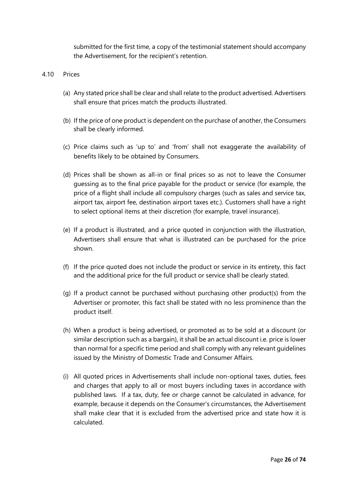submitted for the first time, a copy of the testimonial statement should accompany the Advertisement, for the recipient's retention.

#### 4.10 Prices

- (a) Any stated price shall be clear and shall relate to the product advertised. Advertisers shall ensure that prices match the products illustrated.
- (b) If the price of one product is dependent on the purchase of another, the Consumers shall be clearly informed.
- (c) Price claims such as 'up to' and 'from' shall not exaggerate the availability of benefits likely to be obtained by Consumers.
- (d) Prices shall be shown as all-in or final prices so as not to leave the Consumer guessing as to the final price payable for the product or service (for example, the price of a flight shall include all compulsory charges (such as sales and service tax, airport tax, airport fee, destination airport taxes etc.). Customers shall have a right to select optional items at their discretion (for example, travel insurance).
- (e) If a product is illustrated, and a price quoted in conjunction with the illustration, Advertisers shall ensure that what is illustrated can be purchased for the price shown.
- (f) If the price quoted does not include the product or service in its entirety, this fact and the additional price for the full product or service shall be clearly stated.
- (g) If a product cannot be purchased without purchasing other product(s) from the Advertiser or promoter, this fact shall be stated with no less prominence than the product itself.
- (h) When a product is being advertised, or promoted as to be sold at a discount (or similar description such as a bargain), it shall be an actual discount i.e. price is lower than normal for a specific time period and shall comply with any relevant guidelines issued by the Ministry of Domestic Trade and Consumer Affairs.
- (i) All quoted prices in Advertisements shall include non-optional taxes, duties, fees and charges that apply to all or most buyers including taxes in accordance with published laws. If a tax, duty, fee or charge cannot be calculated in advance, for example, because it depends on the Consumer's circumstances, the Advertisement shall make clear that it is excluded from the advertised price and state how it is calculated.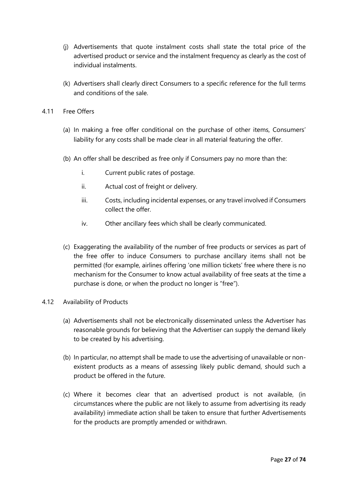- (j) Advertisements that quote instalment costs shall state the total price of the advertised product or service and the instalment frequency as clearly as the cost of individual instalments.
- (k) Advertisers shall clearly direct Consumers to a specific reference for the full terms and conditions of the sale.
- 4.11 Free Offers
	- (a) In making a free offer conditional on the purchase of other items, Consumers' liability for any costs shall be made clear in all material featuring the offer.
	- (b) An offer shall be described as free only if Consumers pay no more than the:
		- i. Current public rates of postage.
		- ii. Actual cost of freight or delivery.
		- iii. Costs, including incidental expenses, or any travel involved if Consumers collect the offer.
		- iv. Other ancillary fees which shall be clearly communicated.
	- (c) Exaggerating the availability of the number of free products or services as part of the free offer to induce Consumers to purchase ancillary items shall not be permitted (for example, airlines offering 'one million tickets' free where there is no mechanism for the Consumer to know actual availability of free seats at the time a purchase is done, or when the product no longer is "free").

#### 4.12 Availability of Products

- (a) Advertisements shall not be electronically disseminated unless the Advertiser has reasonable grounds for believing that the Advertiser can supply the demand likely to be created by his advertising.
- (b) In particular, no attempt shall be made to use the advertising of unavailable or nonexistent products as a means of assessing likely public demand, should such a product be offered in the future.
- (c) Where it becomes clear that an advertised product is not available, (in circumstances where the public are not likely to assume from advertising its ready availability) immediate action shall be taken to ensure that further Advertisements for the products are promptly amended or withdrawn.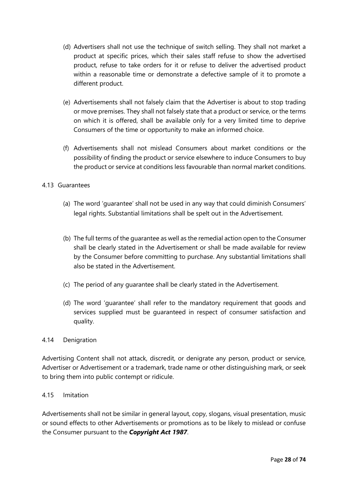- (d) Advertisers shall not use the technique of switch selling. They shall not market a product at specific prices, which their sales staff refuse to show the advertised product, refuse to take orders for it or refuse to deliver the advertised product within a reasonable time or demonstrate a defective sample of it to promote a different product.
- (e) Advertisements shall not falsely claim that the Advertiser is about to stop trading or move premises. They shall not falsely state that a product or service, or the terms on which it is offered, shall be available only for a very limited time to deprive Consumers of the time or opportunity to make an informed choice.
- (f) Advertisements shall not mislead Consumers about market conditions or the possibility of finding the product or service elsewhere to induce Consumers to buy the product or service at conditions less favourable than normal market conditions.

#### 4.13 Guarantees

- (a) The word 'guarantee' shall not be used in any way that could diminish Consumers' legal rights. Substantial limitations shall be spelt out in the Advertisement.
- (b) The full terms of the guarantee as well as the remedial action open to the Consumer shall be clearly stated in the Advertisement or shall be made available for review by the Consumer before committing to purchase. Any substantial limitations shall also be stated in the Advertisement.
- (c) The period of any guarantee shall be clearly stated in the Advertisement.
- (d) The word 'guarantee' shall refer to the mandatory requirement that goods and services supplied must be guaranteed in respect of consumer satisfaction and quality.

#### 4.14 Denigration

Advertising Content shall not attack, discredit, or denigrate any person, product or service, Advertiser or Advertisement or a trademark, trade name or other distinguishing mark, or seek to bring them into public contempt or ridicule.

#### 4.15 Imitation

Advertisements shall not be similar in general layout, copy, slogans, visual presentation, music or sound effects to other Advertisements or promotions as to be likely to mislead or confuse the Consumer pursuant to the *Copyright Act 1987*.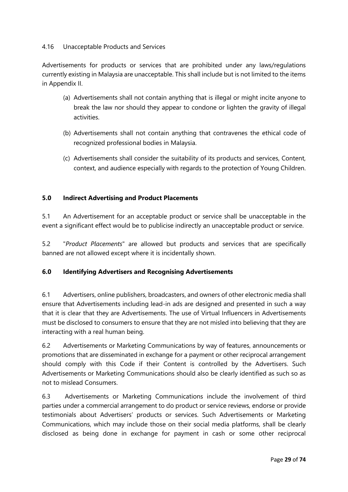#### 4.16 Unacceptable Products and Services

Advertisements for products or services that are prohibited under any laws/regulations currently existing in Malaysia are unacceptable. This shall include but is not limited to the items in Appendix II.

- (a) Advertisements shall not contain anything that is illegal or might incite anyone to break the law nor should they appear to condone or lighten the gravity of illegal activities.
- (b) Advertisements shall not contain anything that contravenes the ethical code of recognized professional bodies in Malaysia.
- (c) Advertisements shall consider the suitability of its products and services, Content, context, and audience especially with regards to the protection of Young Children.

#### **5.0 Indirect Advertising and Product Placements**

5.1 An Advertisement for an acceptable product or service shall be unacceptable in the event a significant effect would be to publicise indirectly an unacceptable product or service.

5.2 "*Product Placements*" are allowed but products and services that are specifically banned are not allowed except where it is incidentally shown.

#### **6.0 Identifying Advertisers and Recognising Advertisements**

6.1 Advertisers, online publishers, broadcasters, and owners of other electronic media shall ensure that Advertisements including lead-in ads are designed and presented in such a way that it is clear that they are Advertisements. The use of Virtual Influencers in Advertisements must be disclosed to consumers to ensure that they are not misled into believing that they are interacting with a real human being.

6.2 Advertisements or Marketing Communications by way of features, announcements or promotions that are disseminated in exchange for a payment or other reciprocal arrangement should comply with this Code if their Content is controlled by the Advertisers. Such Advertisements or Marketing Communications should also be clearly identified as such so as not to mislead Consumers.

6.3 Advertisements or Marketing Communications include the involvement of third parties under a commercial arrangement to do product or service reviews, endorse or provide testimonials about Advertisers' products or services. Such Advertisements or Marketing Communications, which may include those on their social media platforms, shall be clearly disclosed as being done in exchange for payment in cash or some other reciprocal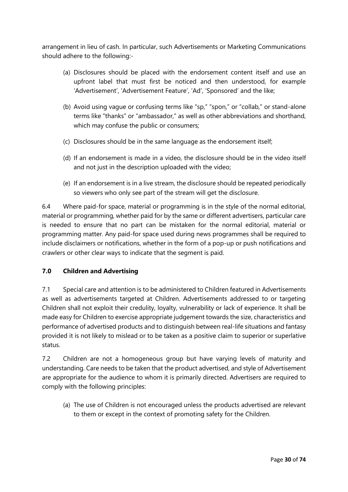arrangement in lieu of cash. In particular, such Advertisements or Marketing Communications should adhere to the following:-

- (a) Disclosures should be placed with the endorsement content itself and use an upfront label that must first be noticed and then understood, for example 'Advertisement', 'Advertisement Feature', 'Ad', 'Sponsored' and the like;
- (b) Avoid using vague or confusing terms like "sp," "spon," or "collab," or stand-alone terms like "thanks" or "ambassador," as well as other abbreviations and shorthand, which may confuse the public or consumers;
- (c) Disclosures should be in the same language as the endorsement itself;
- (d) If an endorsement is made in a video, the disclosure should be in the video itself and not just in the description uploaded with the video;
- (e) If an endorsement is in a live stream, the disclosure should be repeated periodically so viewers who only see part of the stream will get the disclosure.

6.4 Where paid-for space, material or programming is in the style of the normal editorial, material or programming, whether paid for by the same or different advertisers, particular care is needed to ensure that no part can be mistaken for the normal editorial, material or programming matter. Any paid-for space used during news programmes shall be required to include disclaimers or notifications, whether in the form of a pop-up or push notifications and crawlers or other clear ways to indicate that the segment is paid.

#### **7.0 Children and Advertising**

7.1 Special care and attention is to be administered to Children featured in Advertisements as well as advertisements targeted at Children. Advertisements addressed to or targeting Children shall not exploit their credulity, loyalty, vulnerability or lack of experience. It shall be made easy for Children to exercise appropriate judgement towards the size, characteristics and performance of advertised products and to distinguish between real-life situations and fantasy provided it is not likely to mislead or to be taken as a positive claim to superior or superlative status.

7.2 Children are not a homogeneous group but have varying levels of maturity and understanding. Care needs to be taken that the product advertised, and style of Advertisement are appropriate for the audience to whom it is primarily directed. Advertisers are required to comply with the following principles:

(a) The use of Children is not encouraged unless the products advertised are relevant to them or except in the context of promoting safety for the Children.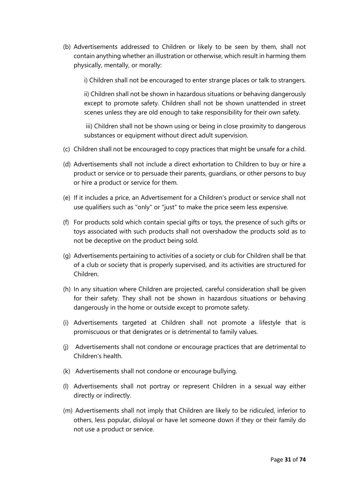(b) Advertisements addressed to Children or likely to be seen by them, shall not contain anything whether an illustration or otherwise, which result in harming them physically, mentally, or morally:

i) Children shall not be encouraged to enter strange places or talk to strangers.

ii) Children shall not be shown in hazardous situations or behaving dangerously except to promote safety. Children shall not be shown unattended in street scenes unless they are old enough to take responsibility for their own safety.

iii) Children shall not be shown using or being in close proximity to dangerous substances or equipment without direct adult supervision.

- (c) Children shall not be encouraged to copy practices that might be unsafe for a child.
- (d) Advertisements shall not include a direct exhortation to Children to buy or hire a product or service or to persuade their parents, guardians, or other persons to buy or hire a product or service for them.
- (e) If it includes a price, an Advertisement for a Children's product or service shall not use qualifiers such as "only" or "just" to make the price seem less expensive.
- (f) For products sold which contain special gifts or toys, the presence of such gifts or toys associated with such products shall not overshadow the products sold as to not be deceptive on the product being sold.
- (g) Advertisements pertaining to activities of a society or club for Children shall be that of a club or society that is properly supervised, and its activities are structured for Children.
- (h) In any situation where Children are projected, careful consideration shall be given for their safety. They shall not be shown in hazardous situations or behaving dangerously in the home or outside except to promote safety.
- (i) Advertisements targeted at Children shall not promote a lifestyle that is promiscuous or that denigrates or is detrimental to family values.
- (j) Advertisements shall not condone or encourage practices that are detrimental to Children's health.
- (k) Advertisements shall not condone or encourage bullying.
- (l) Advertisements shall not portray or represent Children in a sexual way either directly or indirectly.
- (m) Advertisements shall not imply that Children are likely to be ridiculed, inferior to others, less popular, disloyal or have let someone down if they or their family do not use a product or service.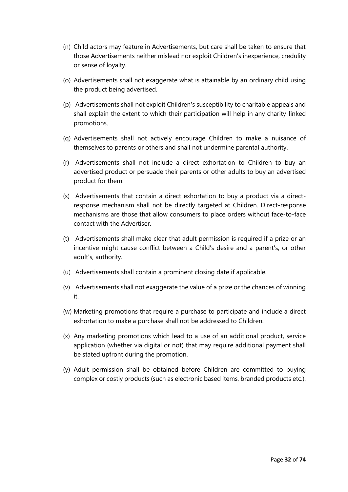- (n) Child actors may feature in Advertisements, but care shall be taken to ensure that those Advertisements neither mislead nor exploit Children's inexperience, credulity or sense of loyalty.
- (o) Advertisements shall not exaggerate what is attainable by an ordinary child using the product being advertised.
- (p) Advertisements shall not exploit Children's susceptibility to charitable appeals and shall explain the extent to which their participation will help in any charity-linked promotions.
- (q) Advertisements shall not actively encourage Children to make a nuisance of themselves to parents or others and shall not undermine parental authority.
- (r) Advertisements shall not include a direct exhortation to Children to buy an advertised product or persuade their parents or other adults to buy an advertised product for them.
- (s) Advertisements that contain a direct exhortation to buy a product via a directresponse mechanism shall not be directly targeted at Children. Direct-response mechanisms are those that allow consumers to place orders without face-to-face contact with the Advertiser.
- (t) Advertisements shall make clear that adult permission is required if a prize or an incentive might cause conflict between a Child's desire and a parent's, or other adult's, authority.
- (u) Advertisements shall contain a prominent closing date if applicable.
- (v) Advertisements shall not exaggerate the value of a prize or the chances of winning it.
- (w) Marketing promotions that require a purchase to participate and include a direct exhortation to make a purchase shall not be addressed to Children.
- (x) Any marketing promotions which lead to a use of an additional product, service application (whether via digital or not) that may require additional payment shall be stated upfront during the promotion.
- (y) Adult permission shall be obtained before Children are committed to buying complex or costly products (such as electronic based items, branded products etc.).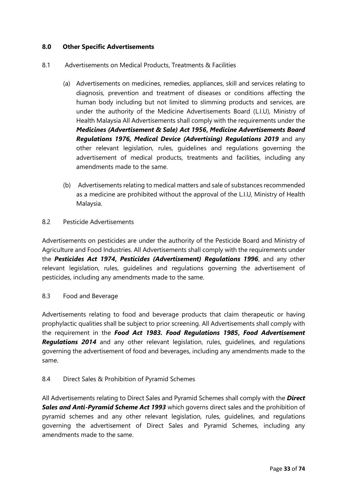#### **8.0 Other Specific Advertisements**

- 8.1 Advertisements on Medical Products, Treatments & Facilities
	- (a) Advertisements on medicines, remedies, appliances, skill and services relating to diagnosis, prevention and treatment of diseases or conditions affecting the human body including but not limited to slimming products and services, are under the authority of the Medicine Advertisements Board (L.I.U), Ministry of Health Malaysia All Advertisements shall comply with the requirements under the *Medicines (Advertisement & Sale) Act 1956***,** *Medicine Advertisements Board Regulations 1976, Medical Device (Advertising) Regulations 2019* and any other relevant legislation, rules, guidelines and regulations governing the advertisement of medical products, treatments and facilities, including any amendments made to the same.
	- (b) Advertisements relating to medical matters and sale of substances recommended as a medicine are prohibited without the approval of the L.I.U, Ministry of Health Malaysia.
- 8.2 Pesticide Advertisements

Advertisements on pesticides are under the authority of the Pesticide Board and Ministry of Agriculture and Food Industries. All Advertisements shall comply with the requirements under the *Pesticides Act 1974***,** *Pesticides (Advertisement) Regulations 1996*, and any other relevant legislation, rules, guidelines and regulations governing the advertisement of pesticides, including any amendments made to the same.

8.3 Food and Beverage

Advertisements relating to food and beverage products that claim therapeutic or having prophylactic qualities shall be subject to prior screening. All Advertisements shall comply with the requirement in the *Food Act 1983. Food Regulations 1985***,** *Food Advertisement Regulations 2014* and any other relevant legislation, rules, guidelines, and regulations governing the advertisement of food and beverages, including any amendments made to the same.

8.4 Direct Sales & Prohibition of Pyramid Schemes

All Advertisements relating to Direct Sales and Pyramid Schemes shall comply with the *Direct Sales and Anti-Pyramid Scheme Act 1993* which governs direct sales and the prohibition of pyramid schemes and any other relevant legislation, rules, guidelines, and regulations governing the advertisement of Direct Sales and Pyramid Schemes, including any amendments made to the same.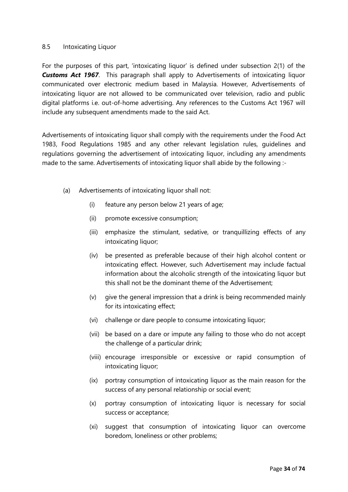#### 8.5 Intoxicating Liquor

For the purposes of this part, 'intoxicating liquor' is defined under subsection 2(1) of the **Customs Act 1967**. This paragraph shall apply to Advertisements of intoxicating liquor communicated over electronic medium based in Malaysia. However, Advertisements of intoxicating liquor are not allowed to be communicated over television, radio and public digital platforms i.e. out-of-home advertising. Any references to the Customs Act 1967 will include any subsequent amendments made to the said Act.

Advertisements of intoxicating liquor shall comply with the requirements under the Food Act 1983, Food Regulations 1985 and any other relevant legislation rules, guidelines and regulations governing the advertisement of intoxicating liquor, including any amendments made to the same. Advertisements of intoxicating liquor shall abide by the following :-

- (a) Advertisements of intoxicating liquor shall not:
	- (i) feature any person below 21 years of age;
	- (ii) promote excessive consumption;
	- (iii) emphasize the stimulant, sedative, or tranquillizing effects of any intoxicating liquor;
	- (iv) be presented as preferable because of their high alcohol content or intoxicating effect. However, such Advertisement may include factual information about the alcoholic strength of the intoxicating liquor but this shall not be the dominant theme of the Advertisement;
	- (v) give the general impression that a drink is being recommended mainly for its intoxicating effect;
	- (vi) challenge or dare people to consume intoxicating liquor;
	- (vii) be based on a dare or impute any failing to those who do not accept the challenge of a particular drink;
	- (viii) encourage irresponsible or excessive or rapid consumption of intoxicating liquor;
	- (ix) portray consumption of intoxicating liquor as the main reason for the success of any personal relationship or social event;
	- (x) portray consumption of intoxicating liquor is necessary for social success or acceptance;
	- (xi) suggest that consumption of intoxicating liquor can overcome boredom, loneliness or other problems;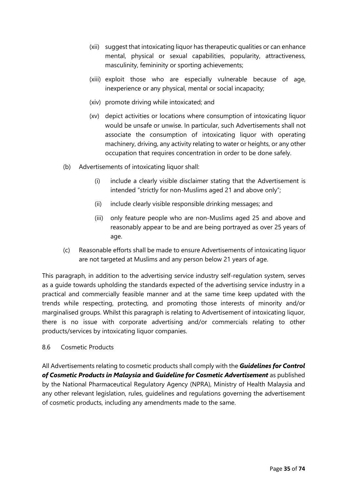- (xii) suggest that intoxicating liquor has therapeutic qualities or can enhance mental, physical or sexual capabilities, popularity, attractiveness, masculinity, femininity or sporting achievements;
- (xiii) exploit those who are especially vulnerable because of age, inexperience or any physical, mental or social incapacity;
- (xiv) promote driving while intoxicated; and
- (xv) depict activities or locations where consumption of intoxicating liquor would be unsafe or unwise. In particular, such Advertisements shall not associate the consumption of intoxicating liquor with operating machinery, driving, any activity relating to water or heights, or any other occupation that requires concentration in order to be done safely.
- (b) Advertisements of intoxicating liquor shall:
	- (i) include a clearly visible disclaimer stating that the Advertisement is intended "strictly for non-Muslims aged 21 and above only";
	- (ii) include clearly visible responsible drinking messages; and
	- (iii) only feature people who are non-Muslims aged 25 and above and reasonably appear to be and are being portrayed as over 25 years of age.
- (c) Reasonable efforts shall be made to ensure Advertisements of intoxicating liquor are not targeted at Muslims and any person below 21 years of age.

This paragraph, in addition to the advertising service industry self-regulation system, serves as a guide towards upholding the standards expected of the advertising service industry in a practical and commercially feasible manner and at the same time keep updated with the trends while respecting, protecting, and promoting those interests of minority and/or marginalised groups. Whilst this paragraph is relating to Advertisement of intoxicating liquor, there is no issue with corporate advertising and/or commercials relating to other products/services by intoxicating liquor companies.

8.6 Cosmetic Products

All Advertisements relating to cosmetic products shall comply with the *Guidelines for Control of Cosmetic Products in Malaysia* **and** *Guideline for Cosmetic Advertisement* as published by the National Pharmaceutical Regulatory Agency (NPRA), Ministry of Health Malaysia and any other relevant legislation, rules, guidelines and regulations governing the advertisement of cosmetic products, including any amendments made to the same.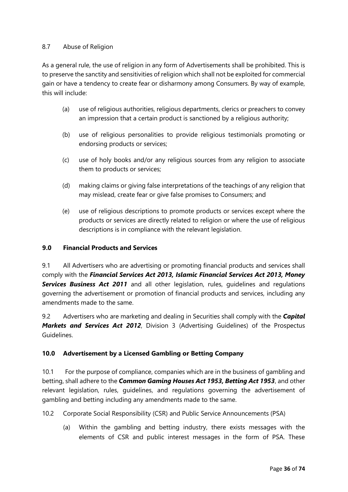#### 8.7 Abuse of Religion

As a general rule, the use of religion in any form of Advertisements shall be prohibited. This is to preserve the sanctity and sensitivities of religion which shall not be exploited for commercial gain or have a tendency to create fear or disharmony among Consumers. By way of example, this will include:

- (a) use of religious authorities, religious departments, clerics or preachers to convey an impression that a certain product is sanctioned by a religious authority;
- (b) use of religious personalities to provide religious testimonials promoting or endorsing products or services;
- (c) use of holy books and/or any religious sources from any religion to associate them to products or services;
- (d) making claims or giving false interpretations of the teachings of any religion that may mislead, create fear or give false promises to Consumers; and
- (e) use of religious descriptions to promote products or services except where the products or services are directly related to religion or where the use of religious descriptions is in compliance with the relevant legislation.

#### **9.0 Financial Products and Services**

9.1 All Advertisers who are advertising or promoting financial products and services shall comply with the *Financial Services Act 2013, Islamic Financial Services Act 2013, Money*  **Services Business Act 2011** and all other legislation, rules, guidelines and regulations governing the advertisement or promotion of financial products and services, including any amendments made to the same.

9.2 Advertisers who are marketing and dealing in Securities shall comply with the *Capital Markets and Services Act 2012*, Division 3 (Advertising Guidelines) of the Prospectus Guidelines.

#### **10.0 Advertisement by a Licensed Gambling or Betting Company**

10.1 For the purpose of compliance, companies which are in the business of gambling and betting, shall adhere to the *Common Gaming Houses Act 1953, Betting Act 1953*, and other relevant legislation, rules, guidelines, and regulations governing the advertisement of gambling and betting including any amendments made to the same.

10.2 Corporate Social Responsibility (CSR) and Public Service Announcements (PSA)

(a) Within the gambling and betting industry, there exists messages with the elements of CSR and public interest messages in the form of PSA. These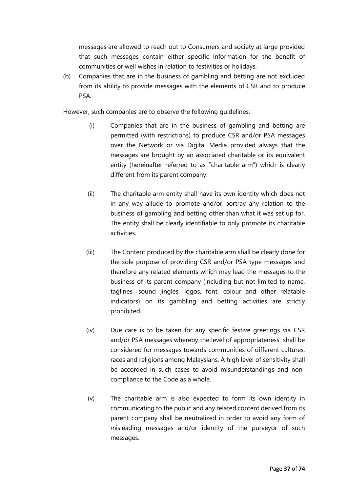messages are allowed to reach out to Consumers and society at large provided that such messages contain either specific information for the benefit of communities or well wishes in relation to festivities or holidays.

(b) Companies that are in the business of gambling and betting are not excluded from its ability to provide messages with the elements of CSR and to produce PSA.

However, such companies are to observe the following guidelines:

- (i) Companies that are in the business of gambling and betting are permitted (with restrictions) to produce CSR and/or PSA messages over the Network or via Digital Media provided always that the messages are brought by an associated charitable or its equivalent entity (hereinafter referred to as "charitable arm") which is clearly different from its parent company.
- (ii) The charitable arm entity shall have its own identity which does not in any way allude to promote and/or portray any relation to the business of gambling and betting other than what it was set up for. The entity shall be clearly identifiable to only promote its charitable activities.
- (iii) The Content produced by the charitable arm shall be clearly done for the sole purpose of providing CSR and/or PSA type messages and therefore any related elements which may lead the messages to the business of its parent company (including but not limited to name, taglines, sound jingles, logos, font, colour and other relatable indicators) on its gambling and betting activities are strictly prohibited.
- (iv) Due care is to be taken for any specific festive greetings via CSR and/or PSA messages whereby the level of appropriateness shall be considered for messages towards communities of different cultures, races and religions among Malaysians. A high level of sensitivity shall be accorded in such cases to avoid misunderstandings and noncompliance to the Code as a whole.
- (v) The charitable arm is also expected to form its own identity in communicating to the public and any related content derived from its parent company shall be neutralized in order to avoid any form of misleading messages and/or identity of the purveyor of such messages.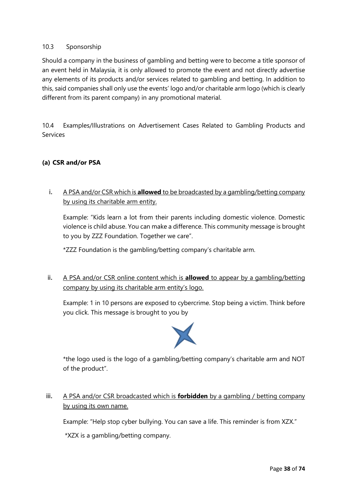# 10.3 Sponsorship

Should a company in the business of gambling and betting were to become a title sponsor of an event held in Malaysia, it is only allowed to promote the event and not directly advertise any elements of its products and/or services related to gambling and betting. In addition to this, said companies shall only use the events' logo and/or charitable arm logo (which is clearly different from its parent company) in any promotional material.

10.4 Examples/Illustrations on Advertisement Cases Related to Gambling Products and Services

# **(a) CSR and/or PSA**

i. A PSA and/or CSR which is **allowed** to be broadcasted by a gambling/betting company by using its charitable arm entity.

Example: "Kids learn a lot from their parents including domestic violence. Domestic violence is child abuse. You can make a difference. This community message is brought to you by ZZZ Foundation. Together we care".

\*ZZZ Foundation is the gambling/betting company's charitable arm.

ii. A PSA and/or CSR online content which is **allowed** to appear by a gambling/betting company by using its charitable arm entity's logo.

Example: 1 in 10 persons are exposed to cybercrime. Stop being a victim. Think before you click. This message is brought to you by



\*the logo used is the logo of a gambling/betting company's charitable arm and NOT of the product".

iii. A PSA and/or CSR broadcasted which is **forbidden** by a gambling / betting company by using its own name.

Example: "Help stop cyber bullying. You can save a life. This reminder is from XZX."

\*XZX is a gambling/betting company.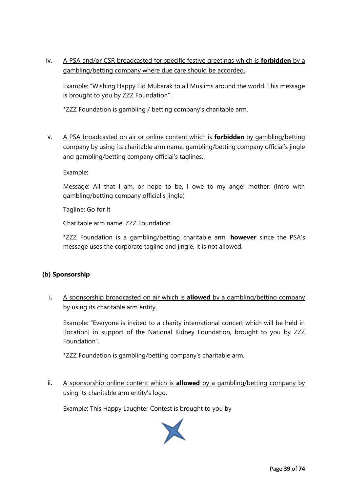iv. A PSA and/or CSR broadcasted for specific festive greetings which is **forbidden** by a gambling/betting company where due care should be accorded.

Example: "Wishing Happy Eid Mubarak to all Muslims around the world. This message is brought to you by ZZZ Foundation".

\*ZZZ Foundation is gambling / betting company's charitable arm.

v. A PSA broadcasted on air or online content which is **forbidden** by gambling/betting company by using its charitable arm name, gambling/betting company official's jingle and gambling/betting company official's taglines.

#### Example:

Message: All that I am, or hope to be, I owe to my angel mother. (Intro with gambling/betting company official's jingle)

Tagline: Go for It

Charitable arm name: ZZZ Foundation

\*ZZZ Foundation is a gambling/betting charitable arm, **however** since the PSA's message uses the corporate tagline and jingle, it is not allowed.

# **(b) Sponsorship**

i. A sponsorship broadcasted on air which is **allowed** by a gambling/betting company by using its charitable arm entity.

Example: "Everyone is invited to a charity international concert which will be held in [location] in support of the National Kidney Foundation, brought to you by ZZZ Foundation".

\*ZZZ Foundation is gambling/betting company's charitable arm.

ii. A sponsorship online content which is **allowed** by a gambling/betting company by using its charitable arm entity's logo.

Example: This Happy Laughter Contest is brought to you by

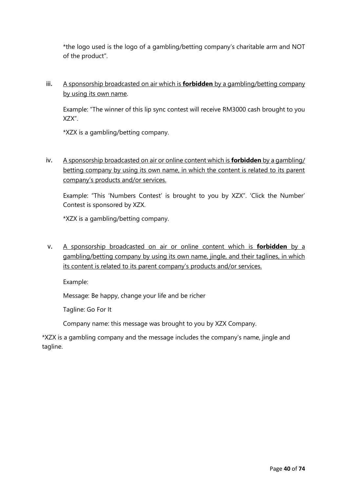\*the logo used is the logo of a gambling/betting company's charitable arm and NOT of the product".

iii. A sponsorship broadcasted on air which is **forbidden** by a gambling/betting company by using its own name.

Example: "The winner of this lip sync contest will receive RM3000 cash brought to you XZX".

\*XZX is a gambling/betting company.

iv. A sponsorship broadcasted on air or online content which is **forbidden** by a gambling/ betting company by using its own name, in which the content is related to its parent company's products and/or services.

Example: "This 'Numbers Contest' is brought to you by XZX". 'Click the Number' Contest is sponsored by XZX.

\*XZX is a gambling/betting company.

v. A sponsorship broadcasted on air or online content which is **forbidden** by a gambling/betting company by using its own name, jingle, and their taglines, in which its content is related to its parent company's products and/or services.

Example:

Message: Be happy, change your life and be richer

Tagline: Go For It

Company name: this message was brought to you by XZX Company.

\*XZX is a gambling company and the message includes the company's name, jingle and tagline.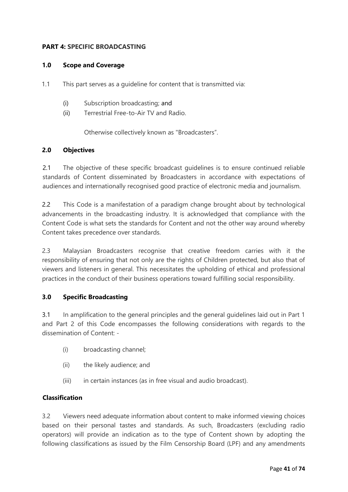### **PART 4: SPECIFIC BROADCASTING**

#### **1.0 Scope and Coverage**

- 1.1 This part serves as a guideline for content that is transmitted via:
	- (i) Subscription broadcasting; and
	- (ii) Terrestrial Free-to-Air TV and Radio.

Otherwise collectively known as "Broadcasters".

#### **2.0 Objectives**

2.1 The objective of these specific broadcast quidelines is to ensure continued reliable standards of Content disseminated by Broadcasters in accordance with expectations of audiences and internationally recognised good practice of electronic media and journalism.

2.2 This Code is a manifestation of a paradigm change brought about by technological advancements in the broadcasting industry. It is acknowledged that compliance with the Content Code is what sets the standards for Content and not the other way around whereby Content takes precedence over standards.

2.3 Malaysian Broadcasters recognise that creative freedom carries with it the responsibility of ensuring that not only are the rights of Children protected, but also that of viewers and listeners in general. This necessitates the upholding of ethical and professional practices in the conduct of their business operations toward fulfilling social responsibility.

#### **3.0 Specific Broadcasting**

3.1 In amplification to the general principles and the general guidelines laid out in Part 1 and Part 2 of this Code encompasses the following considerations with regards to the dissemination of Content: -

- (i) broadcasting channel;
- (ii) the likely audience; and
- (iii) in certain instances (as in free visual and audio broadcast).

#### **Classification**

3.2 Viewers need adequate information about content to make informed viewing choices based on their personal tastes and standards. As such, Broadcasters (excluding radio operators) will provide an indication as to the type of Content shown by adopting the following classifications as issued by the Film Censorship Board (LPF) and any amendments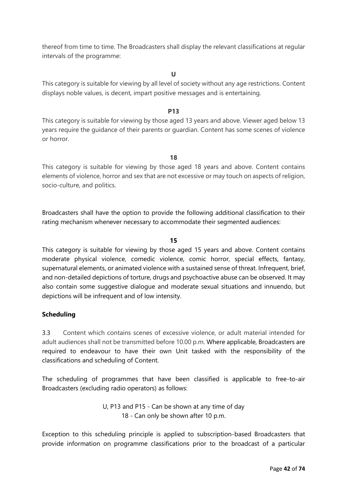thereof from time to time. The Broadcasters shall display the relevant classifications at regular intervals of the programme:

**U**

This category is suitable for viewing by all level of society without any age restrictions. Content displays noble values, is decent, impart positive messages and is entertaining.

#### **P13**

This category is suitable for viewing by those aged 13 years and above. Viewer aged below 13 years require the guidance of their parents or guardian. Content has some scenes of violence or horror.

**18**

This category is suitable for viewing by those aged 18 years and above. Content contains elements of violence, horror and sex that are not excessive or may touch on aspects of religion, socio-culture, and politics.

Broadcasters shall have the option to provide the following additional classification to their rating mechanism whenever necessary to accommodate their segmented audiences:

#### **15**

This category is suitable for viewing by those aged 15 years and above. Content contains moderate physical violence, comedic violence, comic horror, special effects, fantasy, supernatural elements, or animated violence with a sustained sense of threat. Infrequent, brief, and non-detailed depictions of torture, drugs and psychoactive abuse can be observed. It may also contain some suggestive dialogue and moderate sexual situations and innuendo, but depictions will be infrequent and of low intensity.

#### **Scheduling**

3.3 Content which contains scenes of excessive violence, or adult material intended for adult audiences shall not be transmitted before 10.00 p.m. Where applicable, Broadcasters are required to endeavour to have their own Unit tasked with the responsibility of the classifications and scheduling of Content.

The scheduling of programmes that have been classified is applicable to free-to-air Broadcasters (excluding radio operators) as follows:

> U, P13 and P15 - Can be shown at any time of day 18 - Can only be shown after 10 p.m.

Exception to this scheduling principle is applied to subscription-based Broadcasters that provide information on programme classifications prior to the broadcast of a particular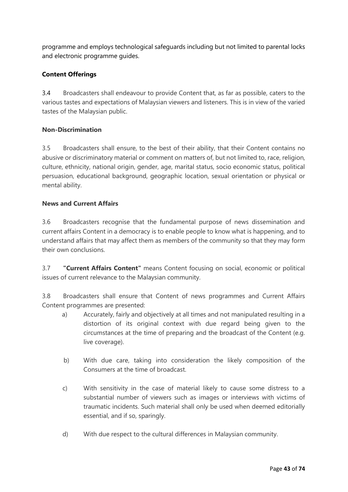programme and employs technological safeguards including but not limited to parental locks and electronic programme guides.

# **Content Offerings**

3.4 Broadcasters shall endeavour to provide Content that, as far as possible, caters to the various tastes and expectations of Malaysian viewers and listeners. This is in view of the varied tastes of the Malaysian public.

# **Non-Discrimination**

3.5 Broadcasters shall ensure, to the best of their ability, that their Content contains no abusive or discriminatory material or comment on matters of, but not limited to, race, religion, culture, ethnicity, national origin, gender, age, marital status, socio economic status, political persuasion, educational background, geographic location, sexual orientation or physical or mental ability.

# **News and Current Affairs**

3.6 Broadcasters recognise that the fundamental purpose of news dissemination and current affairs Content in a democracy is to enable people to know what is happening, and to understand affairs that may affect them as members of the community so that they may form their own conclusions.

3.7 **"Current Affairs Content"** means Content focusing on social, economic or political issues of current relevance to the Malaysian community.

3.8 Broadcasters shall ensure that Content of news programmes and Current Affairs Content programmes are presented:

- a) Accurately, fairly and objectively at all times and not manipulated resulting in a distortion of its original context with due regard being given to the circumstances at the time of preparing and the broadcast of the Content (e.g. live coverage).
- b) With due care, taking into consideration the likely composition of the Consumers at the time of broadcast.
- c) With sensitivity in the case of material likely to cause some distress to a substantial number of viewers such as images or interviews with victims of traumatic incidents. Such material shall only be used when deemed editorially essential, and if so, sparingly.
- d) With due respect to the cultural differences in Malaysian community.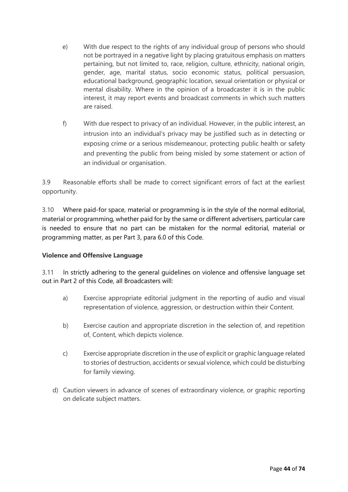- e) With due respect to the rights of any individual group of persons who should not be portrayed in a negative light by placing gratuitous emphasis on matters pertaining, but not limited to, race, religion, culture, ethnicity, national origin, gender, age, marital status, socio economic status, political persuasion, educational background, geographic location, sexual orientation or physical or mental disability. Where in the opinion of a broadcaster it is in the public interest, it may report events and broadcast comments in which such matters are raised.
- f) With due respect to privacy of an individual. However, in the public interest, an intrusion into an individual's privacy may be justified such as in detecting or exposing crime or a serious misdemeanour, protecting public health or safety and preventing the public from being misled by some statement or action of an individual or organisation.

3.9 Reasonable efforts shall be made to correct significant errors of fact at the earliest opportunity.

3.10 Where paid-for space, material or programming is in the style of the normal editorial, material or programming, whether paid for by the same or different advertisers, particular care is needed to ensure that no part can be mistaken for the normal editorial, material or programming matter, as per Part 3, para 6.0 of this Code.

# **Violence and Offensive Language**

3.11 In strictly adhering to the general guidelines on violence and offensive language set out in Part 2 of this Code, all Broadcasters will:

- a) Exercise appropriate editorial judgment in the reporting of audio and visual representation of violence, aggression, or destruction within their Content.
- b) Exercise caution and appropriate discretion in the selection of, and repetition of, Content, which depicts violence.
- c) Exercise appropriate discretion in the use of explicit or graphic language related to stories of destruction, accidents or sexual violence, which could be disturbing for family viewing.
- d) Caution viewers in advance of scenes of extraordinary violence, or graphic reporting on delicate subject matters.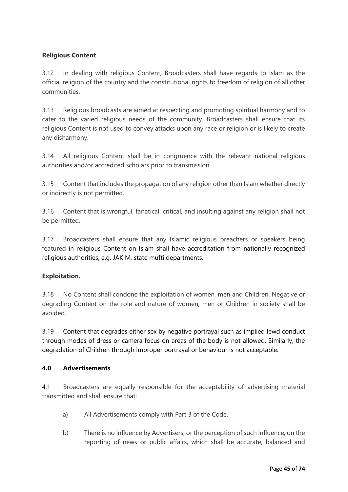# **Religious Content**

3.12 In dealing with religious Content, Broadcasters shall have regards to Islam as the official religion of the country and the constitutional rights to freedom of religion of all other communities.

3.13 Religious broadcasts are aimed at respecting and promoting spiritual harmony and to cater to the varied religious needs of the community. Broadcasters shall ensure that its religious Content is not used to convey attacks upon any race or religion or is likely to create any disharmony.

3.14 All religious Content shall be in congruence with the relevant national religious authorities and/or accredited scholars prior to transmission.

3.15 Content that includes the propagation of any religion other than Islam whether directly or indirectly is not permitted.

3.16 Content that is wrongful, fanatical, critical, and insulting against any religion shall not be permitted.

3.17 Broadcasters shall ensure that any Islamic religious preachers or speakers being featured in religious Content on Islam shall have accreditation from nationally recognized religious authorities, e.g. JAKIM, state mufti departments.

# **Exploitation.**

3.18 No Content shall condone the exploitation of women, men and Children. Negative or degrading Content on the role and nature of women, men or Children in society shall be avoided.

3.19 Content that degrades either sex by negative portrayal such as implied lewd conduct through modes of dress or camera focus on areas of the body is not allowed. Similarly, the degradation of Children through improper portrayal or behaviour is not acceptable.

#### **4.0 Advertisements**

4.1 Broadcasters are equally responsible for the acceptability of advertising material transmitted and shall ensure that:

- a) All Advertisements comply with Part 3 of the Code.
- b) There is no influence by Advertisers, or the perception of such influence, on the reporting of news or public affairs, which shall be accurate, balanced and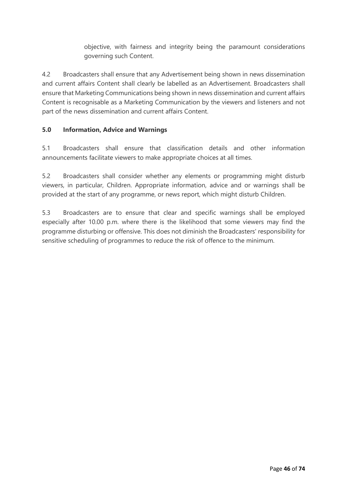objective, with fairness and integrity being the paramount considerations governing such Content.

4.2 Broadcasters shall ensure that any Advertisement being shown in news dissemination and current affairs Content shall clearly be labelled as an Advertisement. Broadcasters shall ensure that Marketing Communications being shown in news dissemination and current affairs Content is recognisable as a Marketing Communication by the viewers and listeners and not part of the news dissemination and current affairs Content.

# **5.0 Information, Advice and Warnings**

5.1 Broadcasters shall ensure that classification details and other information announcements facilitate viewers to make appropriate choices at all times.

5.2 Broadcasters shall consider whether any elements or programming might disturb viewers, in particular, Children. Appropriate information, advice and or warnings shall be provided at the start of any programme, or news report, which might disturb Children.

5.3 Broadcasters are to ensure that clear and specific warnings shall be employed especially after 10.00 p.m. where there is the likelihood that some viewers may find the programme disturbing or offensive. This does not diminish the Broadcasters' responsibility for sensitive scheduling of programmes to reduce the risk of offence to the minimum.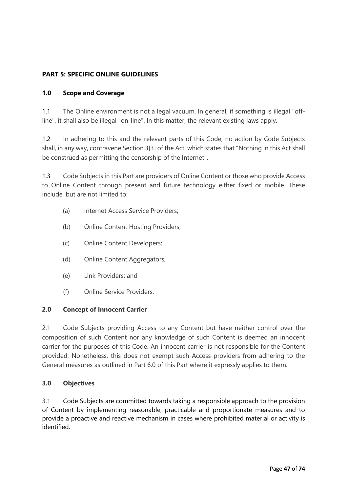# **PART 5: SPECIFIC ONLINE GUIDELINES**

### **1.0 Scope and Coverage**

1.1 The Online environment is not a legal vacuum. In general, if something is illegal "offline", it shall also be illegal "on-line". In this matter, the relevant existing laws apply.

1.2 In adhering to this and the relevant parts of this Code, no action by Code Subjects shall, in any way, contravene Section 3[3] of the Act, which states that "Nothing in this Act shall be construed as permitting the censorship of the Internet".

1.3 Code Subjects in this Part are providers of Online Content or those who provide Access to Online Content through present and future technology either fixed or mobile. These include, but are not limited to:

- (a) Internet Access Service Providers;
- (b) Online Content Hosting Providers;
- (c) Online Content Developers;
- (d) Online Content Aggregators;
- (e) Link Providers; and
- (f) Online Service Providers.

#### **2.0 Concept of Innocent Carrier**

2.1 Code Subjects providing Access to any Content but have neither control over the composition of such Content nor any knowledge of such Content is deemed an innocent carrier for the purposes of this Code. An innocent carrier is not responsible for the Content provided. Nonetheless, this does not exempt such Access providers from adhering to the General measures as outlined in Part 6.0 of this Part where it expressly applies to them.

#### **3.0 Objectives**

3.1 Code Subjects are committed towards taking a responsible approach to the provision of Content by implementing reasonable, practicable and proportionate measures and to provide a proactive and reactive mechanism in cases where prohibited material or activity is identified.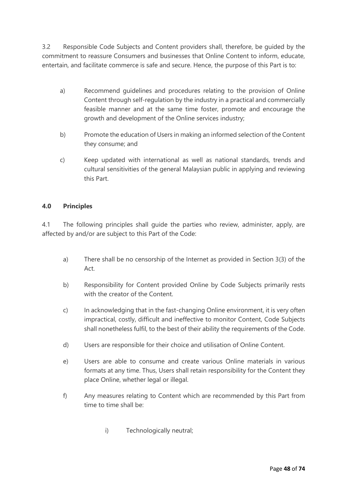3.2 Responsible Code Subjects and Content providers shall, therefore, be guided by the commitment to reassure Consumers and businesses that Online Content to inform, educate, entertain, and facilitate commerce is safe and secure. Hence, the purpose of this Part is to:

- a) Recommend guidelines and procedures relating to the provision of Online Content through self-regulation by the industry in a practical and commercially feasible manner and at the same time foster, promote and encourage the growth and development of the Online services industry;
- b) Promote the education of Users in making an informed selection of the Content they consume; and
- c) Keep updated with international as well as national standards, trends and cultural sensitivities of the general Malaysian public in applying and reviewing this Part.

# **4.0 Principles**

4.1 The following principles shall guide the parties who review, administer, apply, are affected by and/or are subject to this Part of the Code:

- a) There shall be no censorship of the Internet as provided in Section 3(3) of the Act.
- b) Responsibility for Content provided Online by Code Subjects primarily rests with the creator of the Content.
- c) In acknowledging that in the fast-changing Online environment, it is very often impractical, costly, difficult and ineffective to monitor Content, Code Subjects shall nonetheless fulfil, to the best of their ability the requirements of the Code.
- d) Users are responsible for their choice and utilisation of Online Content.
- e) Users are able to consume and create various Online materials in various formats at any time. Thus, Users shall retain responsibility for the Content they place Online, whether legal or illegal.
- f) Any measures relating to Content which are recommended by this Part from time to time shall be:
	- i) Technologically neutral;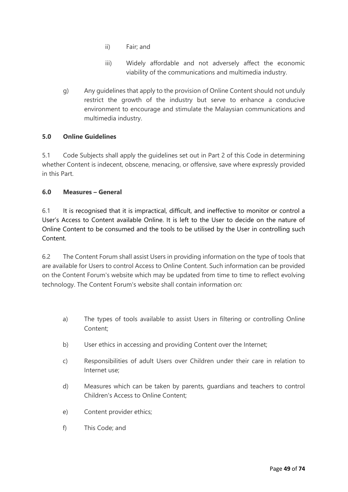- ii) Fair; and
- iii) Widely affordable and not adversely affect the economic viability of the communications and multimedia industry.
- g) Any guidelines that apply to the provision of Online Content should not unduly restrict the growth of the industry but serve to enhance a conducive environment to encourage and stimulate the Malaysian communications and multimedia industry.

# **5.0 Online Guidelines**

5.1 Code Subjects shall apply the guidelines set out in Part 2 of this Code in determining whether Content is indecent, obscene, menacing, or offensive, save where expressly provided in this Part.

#### **6.0 Measures – General**

6.1 It is recognised that it is impractical, difficult, and ineffective to monitor or control a User's Access to Content available Online. It is left to the User to decide on the nature of Online Content to be consumed and the tools to be utilised by the User in controlling such Content.

6.2 The Content Forum shall assist Users in providing information on the type of tools that are available for Users to control Access to Online Content. Such information can be provided on the Content Forum's website which may be updated from time to time to reflect evolving technology. The Content Forum's website shall contain information on:

- a) The types of tools available to assist Users in filtering or controlling Online Content;
- b) User ethics in accessing and providing Content over the Internet;
- c) Responsibilities of adult Users over Children under their care in relation to Internet use;
- d) Measures which can be taken by parents, guardians and teachers to control Children's Access to Online Content;
- e) Content provider ethics;
- f) This Code; and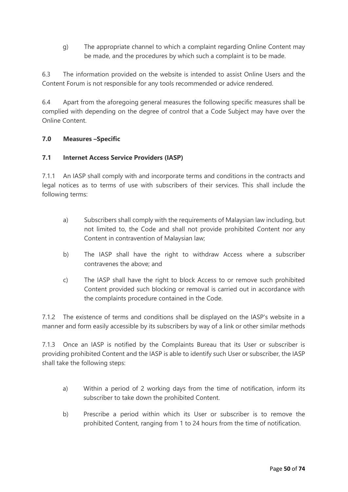g) The appropriate channel to which a complaint regarding Online Content may be made, and the procedures by which such a complaint is to be made.

6.3 The information provided on the website is intended to assist Online Users and the Content Forum is not responsible for any tools recommended or advice rendered.

6.4 Apart from the aforegoing general measures the following specific measures shall be complied with depending on the degree of control that a Code Subject may have over the Online Content.

# **7.0 Measures –Specific**

# **7.1 Internet Access Service Providers (IASP)**

7.1.1 An IASP shall comply with and incorporate terms and conditions in the contracts and legal notices as to terms of use with subscribers of their services. This shall include the following terms:

- a) Subscribers shall comply with the requirements of Malaysian law including, but not limited to, the Code and shall not provide prohibited Content nor any Content in contravention of Malaysian law;
- b) The IASP shall have the right to withdraw Access where a subscriber contravenes the above; and
- c) The IASP shall have the right to block Access to or remove such prohibited Content provided such blocking or removal is carried out in accordance with the complaints procedure contained in the Code.

7.1.2 The existence of terms and conditions shall be displayed on the IASP's website in a manner and form easily accessible by its subscribers by way of a link or other similar methods

7.1.3 Once an IASP is notified by the Complaints Bureau that its User or subscriber is providing prohibited Content and the IASP is able to identify such User or subscriber, the IASP shall take the following steps:

- a) Within a period of 2 working days from the time of notification, inform its subscriber to take down the prohibited Content.
- b) Prescribe a period within which its User or subscriber is to remove the prohibited Content, ranging from 1 to 24 hours from the time of notification.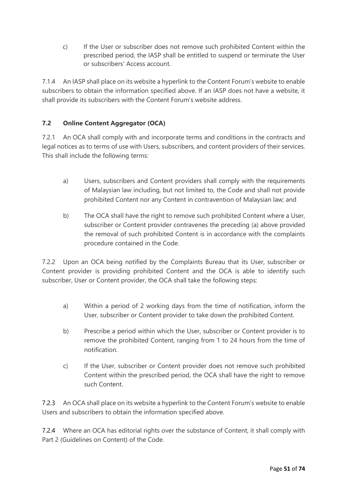c) If the User or subscriber does not remove such prohibited Content within the prescribed period, the IASP shall be entitled to suspend or terminate the User or subscribers' Access account.

7.1.4 An IASP shall place on its website a hyperlink to the Content Forum's website to enable subscribers to obtain the information specified above. If an IASP does not have a website, it shall provide its subscribers with the Content Forum's website address.

# **7.2 Online Content Aggregator (OCA)**

7.2.1 An OCA shall comply with and incorporate terms and conditions in the contracts and legal notices as to terms of use with Users, subscribers, and content providers of their services. This shall include the following terms:

- a) Users, subscribers and Content providers shall comply with the requirements of Malaysian law including, but not limited to, the Code and shall not provide prohibited Content nor any Content in contravention of Malaysian law; and
- b) The OCA shall have the right to remove such prohibited Content where a User, subscriber or Content provider contravenes the preceding (a) above provided the removal of such prohibited Content is in accordance with the complaints procedure contained in the Code.

7.2.2 Upon an OCA being notified by the Complaints Bureau that its User, subscriber or Content provider is providing prohibited Content and the OCA is able to identify such subscriber, User or Content provider, the OCA shall take the following steps:

- a) Within a period of 2 working days from the time of notification, inform the User, subscriber or Content provider to take down the prohibited Content.
- b) Prescribe a period within which the User, subscriber or Content provider is to remove the prohibited Content, ranging from 1 to 24 hours from the time of notification.
- c) If the User, subscriber or Content provider does not remove such prohibited Content within the prescribed period, the OCA shall have the right to remove such Content.

7.2.3 An OCA shall place on its website a hyperlink to the Content Forum's website to enable Users and subscribers to obtain the information specified above.

7.2.4 Where an OCA has editorial rights over the substance of Content, it shall comply with Part 2 (Guidelines on Content) of the Code.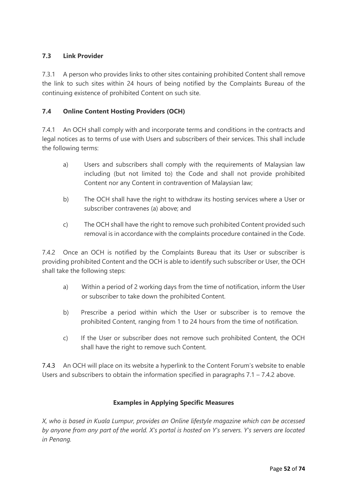# **7.3 Link Provider**

7.3.1 A person who provides links to other sites containing prohibited Content shall remove the link to such sites within 24 hours of being notified by the Complaints Bureau of the continuing existence of prohibited Content on such site.

# **7.4 Online Content Hosting Providers (OCH)**

7.4.1 An OCH shall comply with and incorporate terms and conditions in the contracts and legal notices as to terms of use with Users and subscribers of their services. This shall include the following terms:

- a) Users and subscribers shall comply with the requirements of Malaysian law including (but not limited to) the Code and shall not provide prohibited Content nor any Content in contravention of Malaysian law;
- b) The OCH shall have the right to withdraw its hosting services where a User or subscriber contravenes (a) above; and
- c) The OCH shall have the right to remove such prohibited Content provided such removal is in accordance with the complaints procedure contained in the Code.

7.4.2 Once an OCH is notified by the Complaints Bureau that its User or subscriber is providing prohibited Content and the OCH is able to identify such subscriber or User, the OCH shall take the following steps:

- a) Within a period of 2 working days from the time of notification, inform the User or subscriber to take down the prohibited Content.
- b) Prescribe a period within which the User or subscriber is to remove the prohibited Content, ranging from 1 to 24 hours from the time of notification.
- c) If the User or subscriber does not remove such prohibited Content, the OCH shall have the right to remove such Content.

7.4.3 An OCH will place on its website a hyperlink to the Content Forum's website to enable Users and subscribers to obtain the information specified in paragraphs  $7.1 - 7.4.2$  above.

# **Examples in Applying Specific Measures**

*X, who is based in Kuala Lumpur, provides an Online lifestyle magazine which can be accessed by anyone from any part of the world. X's portal is hosted on Y's servers. Y's servers are located in Penang.*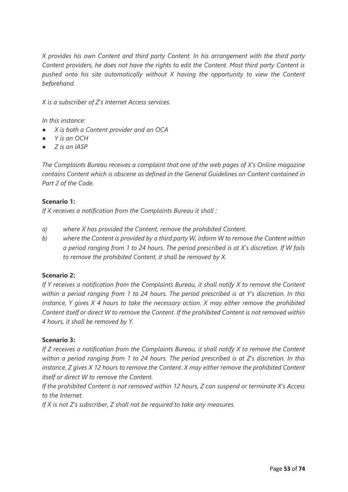*X provides his own Content and third party Content. In his arrangement with the third party Content providers, he does not have the rights to edit the Content. Most third party Content is pushed onto his site automatically without X having the opportunity to view the Content beforehand.*

*X is a subscriber of Z's Internet Access services.*

*In this instance:*

- *X is both a Content provider and an OCA*
- *Y is an OCH*
- *Z is an IASP*

*The Complaints Bureau receives a complaint that one of the web pages of X's Online magazine contains Content which is obscene as defined in the General Guidelines on Content contained in Part 2 of the Code.*

#### **Scenario 1:**

*If X receives a notification from the Complaints Bureau it shall :*

- *a) where X has provided the Content, remove the prohibited Content.*
- *b) where the Content is provided by a third party W, inform W to remove the Content within a period ranging from 1 to 24 hours. The period prescribed is at X's discretion. If W fails to remove the prohibited Content, it shall be removed by X.*

#### **Scenario 2:**

*If Y receives a notification from the Complaints Bureau, it shall notify X to remove the Content within a period ranging from 1 to 24 hours. The period prescribed is at Y's discretion. In this instance, Y gives X 4 hours to take the necessary action. X may either remove the prohibited Content itself or direct W to remove the Content. If the prohibited Content is not removed within 4 hours, it shall be removed by Y.*

#### **Scenario 3:**

*If Z receives a notification from the Complaints Bureau, it shall notify X to remove the Content within a period ranging from 1 to 24 hours. The period prescribed is at Z's discretion. In this instance, Z gives X 12 hours to remove the Content. X may either remove the prohibited Content itself or direct W to remove the Content.* 

*If the prohibited Content is not removed within 12 hours, Z can suspend or terminate X's Access to the Internet.* 

*If X is not Z's subscriber, Z shall not be required to take any measures.*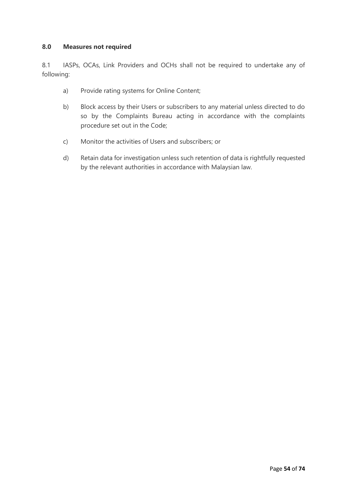## **8.0 Measures not required**

8.1 IASPs, OCAs, Link Providers and OCHs shall not be required to undertake any of following:

- a) Provide rating systems for Online Content;
- b) Block access by their Users or subscribers to any material unless directed to do so by the Complaints Bureau acting in accordance with the complaints procedure set out in the Code;
- c) Monitor the activities of Users and subscribers; or
- d) Retain data for investigation unless such retention of data is rightfully requested by the relevant authorities in accordance with Malaysian law.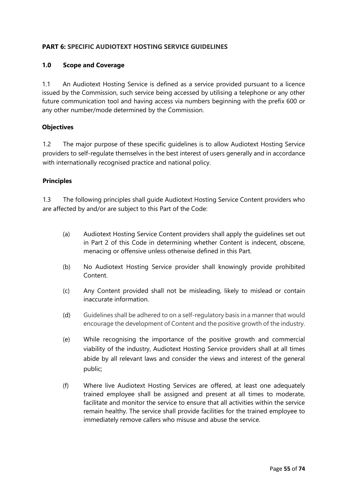# **PART 6: SPECIFIC AUDIOTEXT HOSTING SERVICE GUIDELINES**

### **1.0 Scope and Coverage**

1.1 An Audiotext Hosting Service is defined as a service provided pursuant to a licence issued by the Commission, such service being accessed by utilising a telephone or any other future communication tool and having access via numbers beginning with the prefix 600 or any other number/mode determined by the Commission.

#### **Objectives**

1.2 The major purpose of these specific guidelines is to allow Audiotext Hosting Service providers to self-regulate themselves in the best interest of users generally and in accordance with internationally recognised practice and national policy.

#### **Principles**

1.3 The following principles shall guide Audiotext Hosting Service Content providers who are affected by and/or are subject to this Part of the Code:

- (a) Audiotext Hosting Service Content providers shall apply the guidelines set out in Part 2 of this Code in determining whether Content is indecent, obscene, menacing or offensive unless otherwise defined in this Part.
- (b) No Audiotext Hosting Service provider shall knowingly provide prohibited Content.
- (c) Any Content provided shall not be misleading, likely to mislead or contain inaccurate information.
- (d) Guidelines shall be adhered to on a self-regulatory basis in a manner that would encourage the development of Content and the positive growth of the industry.
- (e) While recognising the importance of the positive growth and commercial viability of the industry, Audiotext Hosting Service providers shall at all times abide by all relevant laws and consider the views and interest of the general public;
- (f) Where live Audiotext Hosting Services are offered, at least one adequately trained employee shall be assigned and present at all times to moderate, facilitate and monitor the service to ensure that all activities within the service remain healthy. The service shall provide facilities for the trained employee to immediately remove callers who misuse and abuse the service.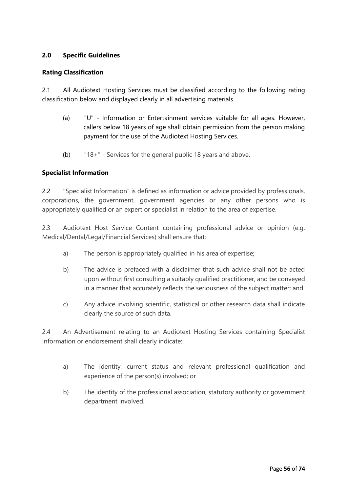# **2.0 Specific Guidelines**

#### **Rating Classification**

2.1 All Audiotext Hosting Services must be classified according to the following rating classification below and displayed clearly in all advertising materials.

- (a) "U" Information or Entertainment services suitable for all ages. However, callers below 18 years of age shall obtain permission from the person making payment for the use of the Audiotext Hosting Services.
- (b) "18+" Services for the general public 18 years and above.

#### **Specialist Information**

2.2 "Specialist Information" is defined as information or advice provided by professionals, corporations, the government, government agencies or any other persons who is appropriately qualified or an expert or specialist in relation to the area of expertise.

2.3 Audiotext Host Service Content containing professional advice or opinion (e.g. Medical/Dental/Legal/Financial Services) shall ensure that:

- a) The person is appropriately qualified in his area of expertise;
- b) The advice is prefaced with a disclaimer that such advice shall not be acted upon without first consulting a suitably qualified practitioner, and be conveyed in a manner that accurately reflects the seriousness of the subject matter; and
- c) Any advice involving scientific, statistical or other research data shall indicate clearly the source of such data.

2.4 An Advertisement relating to an Audiotext Hosting Services containing Specialist Information or endorsement shall clearly indicate:

- a) The identity, current status and relevant professional qualification and experience of the person(s) involved; or
- b) The identity of the professional association, statutory authority or government department involved.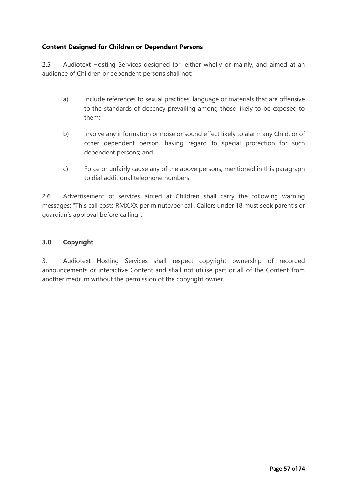# **Content Designed for Children or Dependent Persons**

2.5 Audiotext Hosting Services designed for, either wholly or mainly, and aimed at an audience of Children or dependent persons shall not:

- a) Include references to sexual practices, language or materials that are offensive to the standards of decency prevailing among those likely to be exposed to them;
- b) Involve any information or noise or sound effect likely to alarm any Child, or of other dependent person, having regard to special protection for such dependent persons; and
- c) Force or unfairly cause any of the above persons, mentioned in this paragraph to dial additional telephone numbers.

2.6 Advertisement of services aimed at Children shall carry the following warning messages: "This call costs RMX.XX per minute/per call. Callers under 18 must seek parent's or guardian's approval before calling".

# **3.0 Copyright**

3.1 Audiotext Hosting Services shall respect copyright ownership of recorded announcements or interactive Content and shall not utilise part or all of the Content from another medium without the permission of the copyright owner.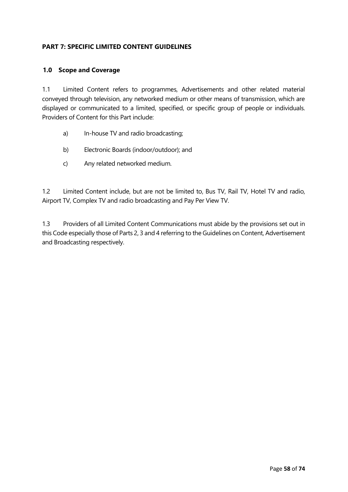# **PART 7: SPECIFIC LIMITED CONTENT GUIDELINES**

#### **1.0 Scope and Coverage**

1.1 Limited Content refers to programmes, Advertisements and other related material conveyed through television, any networked medium or other means of transmission, which are displayed or communicated to a limited, specified, or specific group of people or individuals. Providers of Content for this Part include:

- a) In-house TV and radio broadcasting;
- b) Electronic Boards (indoor/outdoor); and
- c) Any related networked medium.

1.2 Limited Content include, but are not be limited to, Bus TV, Rail TV, Hotel TV and radio, Airport TV, Complex TV and radio broadcasting and Pay Per View TV.

1.3 Providers of all Limited Content Communications must abide by the provisions set out in this Code especially those of Parts 2, 3 and 4 referring to the Guidelines on Content, Advertisement and Broadcasting respectively.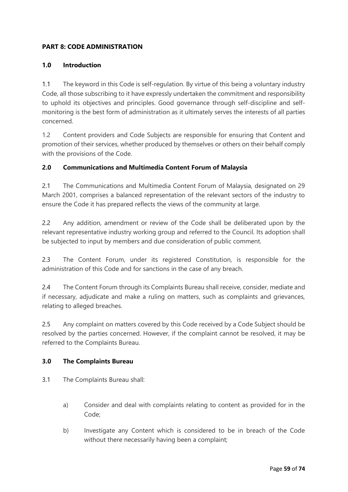# **PART 8: CODE ADMINISTRATION**

## **1.0 Introduction**

1.1 The keyword in this Code is self-regulation. By virtue of this being a voluntary industry Code, all those subscribing to it have expressly undertaken the commitment and responsibility to uphold its objectives and principles. Good governance through self-discipline and selfmonitoring is the best form of administration as it ultimately serves the interests of all parties concerned.

1.2 Content providers and Code Subjects are responsible for ensuring that Content and promotion of their services, whether produced by themselves or others on their behalf comply with the provisions of the Code.

# **2.0 Communications and Multimedia Content Forum of Malaysia**

2.1 The Communications and Multimedia Content Forum of Malaysia, designated on 29 March 2001, comprises a balanced representation of the relevant sectors of the industry to ensure the Code it has prepared reflects the views of the community at large.

2.2 Any addition, amendment or review of the Code shall be deliberated upon by the relevant representative industry working group and referred to the Council. Its adoption shall be subjected to input by members and due consideration of public comment.

2.3 The Content Forum, under its registered Constitution, is responsible for the administration of this Code and for sanctions in the case of any breach.

2.4 The Content Forum through its Complaints Bureau shall receive, consider, mediate and if necessary, adjudicate and make a ruling on matters, such as complaints and grievances, relating to alleged breaches.

2.5 Any complaint on matters covered by this Code received by a Code Subject should be resolved by the parties concerned. However, if the complaint cannot be resolved, it may be referred to the Complaints Bureau.

#### **3.0 The Complaints Bureau**

- 3.1 The Complaints Bureau shall:
	- a) Consider and deal with complaints relating to content as provided for in the Code;
	- b) Investigate any Content which is considered to be in breach of the Code without there necessarily having been a complaint;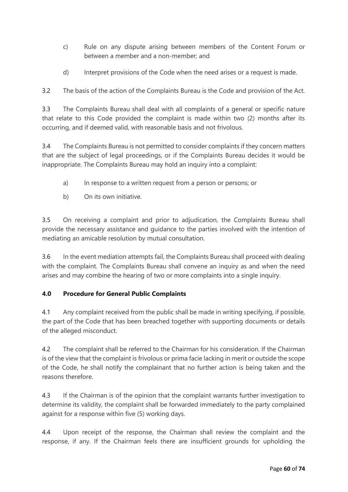- c) Rule on any dispute arising between members of the Content Forum or between a member and a non-member; and
- d) Interpret provisions of the Code when the need arises or a request is made.

3.2 The basis of the action of the Complaints Bureau is the Code and provision of the Act.

3.3 The Complaints Bureau shall deal with all complaints of a general or specific nature that relate to this Code provided the complaint is made within two (2) months after its occurring, and if deemed valid, with reasonable basis and not frivolous.

3.4 The Complaints Bureau is not permitted to consider complaints if they concern matters that are the subject of legal proceedings, or if the Complaints Bureau decides it would be inappropriate. The Complaints Bureau may hold an inquiry into a complaint:

- a) In response to a written request from a person or persons; or
- b) On its own initiative.

3.5 On receiving a complaint and prior to adjudication, the Complaints Bureau shall provide the necessary assistance and guidance to the parties involved with the intention of mediating an amicable resolution by mutual consultation.

3.6 In the event mediation attempts fail, the Complaints Bureau shall proceed with dealing with the complaint. The Complaints Bureau shall convene an inquiry as and when the need arises and may combine the hearing of two or more complaints into a single inquiry.

# **4.0 Procedure for General Public Complaints**

4.1 Any complaint received from the public shall be made in writing specifying, if possible, the part of the Code that has been breached together with supporting documents or details of the alleged misconduct.

4.2 The complaint shall be referred to the Chairman for his consideration. If the Chairman is of the view that the complaint is frivolous or prima facie lacking in merit or outside the scope of the Code, he shall notify the complainant that no further action is being taken and the reasons therefore.

4.3 If the Chairman is of the opinion that the complaint warrants further investigation to determine its validity, the complaint shall be forwarded immediately to the party complained against for a response within five (5) working days.

4.4 Upon receipt of the response, the Chairman shall review the complaint and the response, if any. If the Chairman feels there are insufficient grounds for upholding the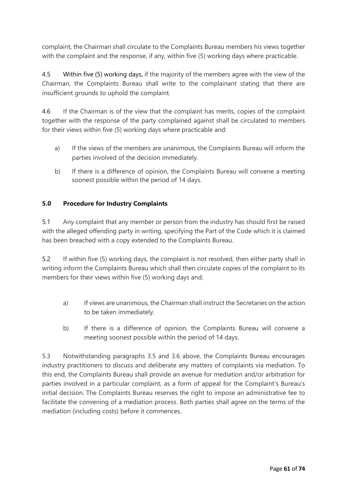complaint, the Chairman shall circulate to the Complaints Bureau members his views together with the complaint and the response, if any, within five (5) working days where practicable.

4.5 Within five (5) working days, if the majority of the members agree with the view of the Chairman, the Complaints Bureau shall write to the complainant stating that there are insufficient grounds to uphold the complaint.

4.6 If the Chairman is of the view that the complaint has merits, copies of the complaint together with the response of the party complained against shall be circulated to members for their views within five (5) working days where practicable and:

- a) If the views of the members are unanimous, the Complaints Bureau will inform the parties involved of the decision immediately.
- b) If there is a difference of opinion, the Complaints Bureau will convene a meeting soonest possible within the period of 14 days.

# **5.0 Procedure for Industry Complaints**

5.1 Any complaint that any member or person from the industry has should first be raised with the alleged offending party in writing, specifying the Part of the Code which it is claimed has been breached with a copy extended to the Complaints Bureau.

5.2 If within five (5) working days, the complaint is not resolved, then either party shall in writing inform the Complaints Bureau which shall then circulate copies of the complaint to its members for their views within five (5) working days and;

- a) If views are unanimous, the Chairman shall instruct the Secretaries on the action to be taken immediately.
- b) If there is a difference of opinion, the Complaints Bureau will convene a meeting soonest possible within the period of 14 days.

5.3 Notwithstanding paragraphs 3.5 and 3.6 above, the Complaints Bureau encourages industry practitioners to discuss and deliberate any matters of complaints via mediation. To this end, the Complaints Bureau shall provide an avenue for mediation and/or arbitration for parties involved in a particular complaint, as a form of appeal for the Complaint's Bureau's initial decision. The Complaints Bureau reserves the right to impose an administrative fee to facilitate the convening of a mediation process. Both parties shall agree on the terms of the mediation (including costs) before it commences.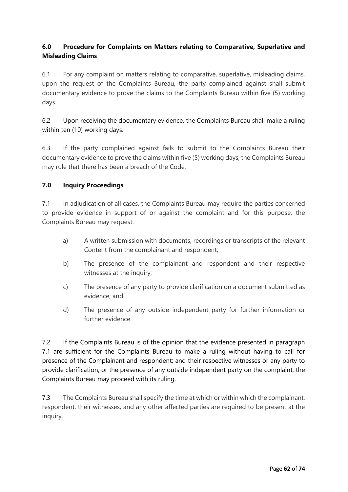# **6.0 Procedure for Complaints on Matters relating to Comparative, Superlative and Misleading Claims**

6.1 For any complaint on matters relating to comparative, superlative, misleading claims, upon the request of the Complaints Bureau, the party complained against shall submit documentary evidence to prove the claims to the Complaints Bureau within five (5) working days.

6.2 Upon receiving the documentary evidence, the Complaints Bureau shall make a ruling within ten (10) working days.

6.3 If the party complained against fails to submit to the Complaints Bureau their documentary evidence to prove the claims within five (5) working days, the Complaints Bureau may rule that there has been a breach of the Code.

# **7.0 Inquiry Proceedings**

7.1 In adjudication of all cases, the Complaints Bureau may require the parties concerned to provide evidence in support of or against the complaint and for this purpose, the Complaints Bureau may request:

- a) A written submission with documents, recordings or transcripts of the relevant Content from the complainant and respondent;
- b) The presence of the complainant and respondent and their respective witnesses at the inquiry;
- c) The presence of any party to provide clarification on a document submitted as evidence; and
- d) The presence of any outside independent party for further information or further evidence.

7.2 If the Complaints Bureau is of the opinion that the evidence presented in paragraph 7.1 are sufficient for the Complaints Bureau to make a ruling without having to call for presence of the Complainant and respondent; and their respective witnesses or any party to provide clarification; or the presence of any outside independent party on the complaint, the Complaints Bureau may proceed with its ruling.

7.3 The Complaints Bureau shall specify the time at which or within which the complainant, respondent, their witnesses, and any other affected parties are required to be present at the inquiry.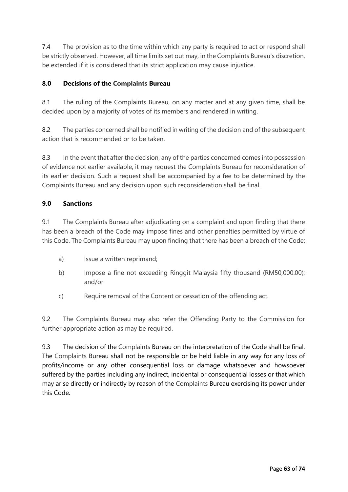7.4 The provision as to the time within which any party is required to act or respond shall be strictly observed. However, all time limits set out may, in the Complaints Bureau's discretion, be extended if it is considered that its strict application may cause injustice.

# **8.0 Decisions of the Complaints Bureau**

8.1 The ruling of the Complaints Bureau, on any matter and at any given time, shall be decided upon by a majority of votes of its members and rendered in writing.

8.2 The parties concerned shall be notified in writing of the decision and of the subsequent action that is recommended or to be taken.

8.3 In the event that after the decision, any of the parties concerned comes into possession of evidence not earlier available, it may request the Complaints Bureau for reconsideration of its earlier decision. Such a request shall be accompanied by a fee to be determined by the Complaints Bureau and any decision upon such reconsideration shall be final.

# **9.0 Sanctions**

9.1 The Complaints Bureau after adjudicating on a complaint and upon finding that there has been a breach of the Code may impose fines and other penalties permitted by virtue of this Code. The Complaints Bureau may upon finding that there has been a breach of the Code:

- a) Issue a written reprimand;
- b) Impose a fine not exceeding Ringgit Malaysia fifty thousand (RM50,000.00); and/or
- c) Require removal of the Content or cessation of the offending act.

9.2 The Complaints Bureau may also refer the Offending Party to the Commission for further appropriate action as may be required.

9.3 The decision of the Complaints Bureau on the interpretation of the Code shall be final. The Complaints Bureau shall not be responsible or be held liable in any way for any loss of profits/income or any other consequential loss or damage whatsoever and howsoever suffered by the parties including any indirect, incidental or consequential losses or that which may arise directly or indirectly by reason of the Complaints Bureau exercising its power under this Code.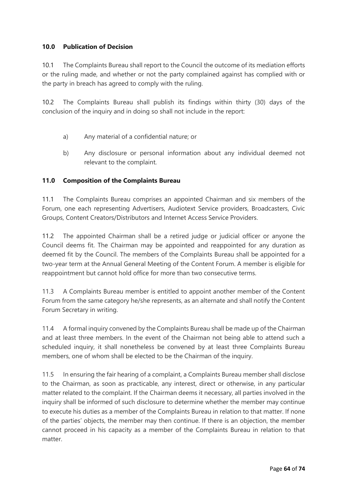# **10.0 Publication of Decision**

10.1 The Complaints Bureau shall report to the Council the outcome of its mediation efforts or the ruling made, and whether or not the party complained against has complied with or the party in breach has agreed to comply with the ruling.

10.2 The Complaints Bureau shall publish its findings within thirty (30) days of the conclusion of the inquiry and in doing so shall not include in the report:

- a) Any material of a confidential nature; or
- b) Any disclosure or personal information about any individual deemed not relevant to the complaint.

# **11.0 Composition of the Complaints Bureau**

11.1 The Complaints Bureau comprises an appointed Chairman and six members of the Forum, one each representing Advertisers, Audiotext Service providers, Broadcasters, Civic Groups, Content Creators/Distributors and Internet Access Service Providers.

11.2 The appointed Chairman shall be a retired judge or judicial officer or anyone the Council deems fit. The Chairman may be appointed and reappointed for any duration as deemed fit by the Council. The members of the Complaints Bureau shall be appointed for a two-year term at the Annual General Meeting of the Content Forum. A member is eligible for reappointment but cannot hold office for more than two consecutive terms.

11.3 A Complaints Bureau member is entitled to appoint another member of the Content Forum from the same category he/she represents, as an alternate and shall notify the Content Forum Secretary in writing.

11.4 A formal inquiry convened by the Complaints Bureau shall be made up of the Chairman and at least three members. In the event of the Chairman not being able to attend such a scheduled inquiry, it shall nonetheless be convened by at least three Complaints Bureau members, one of whom shall be elected to be the Chairman of the inquiry.

11.5 In ensuring the fair hearing of a complaint, a Complaints Bureau member shall disclose to the Chairman, as soon as practicable, any interest, direct or otherwise, in any particular matter related to the complaint. If the Chairman deems it necessary, all parties involved in the inquiry shall be informed of such disclosure to determine whether the member may continue to execute his duties as a member of the Complaints Bureau in relation to that matter. If none of the parties' objects, the member may then continue. If there is an objection, the member cannot proceed in his capacity as a member of the Complaints Bureau in relation to that matter.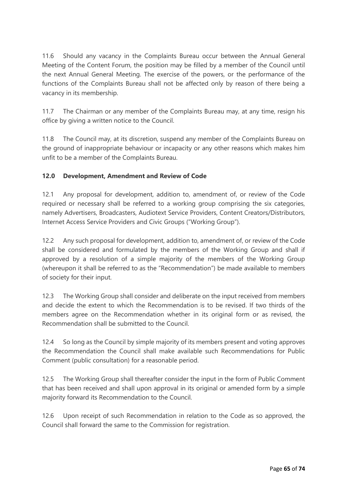11.6 Should any vacancy in the Complaints Bureau occur between the Annual General Meeting of the Content Forum, the position may be filled by a member of the Council until the next Annual General Meeting. The exercise of the powers, or the performance of the functions of the Complaints Bureau shall not be affected only by reason of there being a vacancy in its membership.

11.7 The Chairman or any member of the Complaints Bureau may, at any time, resign his office by giving a written notice to the Council.

11.8 The Council may, at its discretion, suspend any member of the Complaints Bureau on the ground of inappropriate behaviour or incapacity or any other reasons which makes him unfit to be a member of the Complaints Bureau.

# **12.0 Development, Amendment and Review of Code**

12.1 Any proposal for development, addition to, amendment of, or review of the Code required or necessary shall be referred to a working group comprising the six categories, namely Advertisers, Broadcasters, Audiotext Service Providers, Content Creators/Distributors, Internet Access Service Providers and Civic Groups ("Working Group").

12.2 Any such proposal for development, addition to, amendment of, or review of the Code shall be considered and formulated by the members of the Working Group and shall if approved by a resolution of a simple majority of the members of the Working Group (whereupon it shall be referred to as the "Recommendation") be made available to members of society for their input.

12.3 The Working Group shall consider and deliberate on the input received from members and decide the extent to which the Recommendation is to be revised. If two thirds of the members agree on the Recommendation whether in its original form or as revised, the Recommendation shall be submitted to the Council.

12.4 So long as the Council by simple majority of its members present and voting approves the Recommendation the Council shall make available such Recommendations for Public Comment (public consultation) for a reasonable period.

12.5 The Working Group shall thereafter consider the input in the form of Public Comment that has been received and shall upon approval in its original or amended form by a simple majority forward its Recommendation to the Council.

12.6 Upon receipt of such Recommendation in relation to the Code as so approved, the Council shall forward the same to the Commission for registration.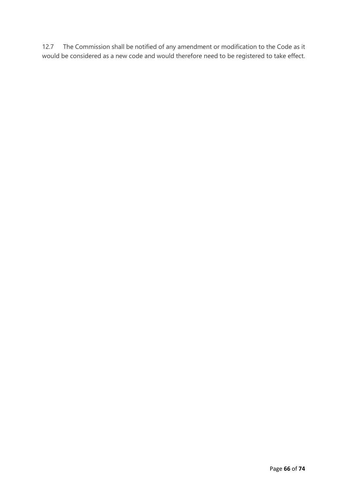12.7 The Commission shall be notified of any amendment or modification to the Code as it would be considered as a new code and would therefore need to be registered to take effect.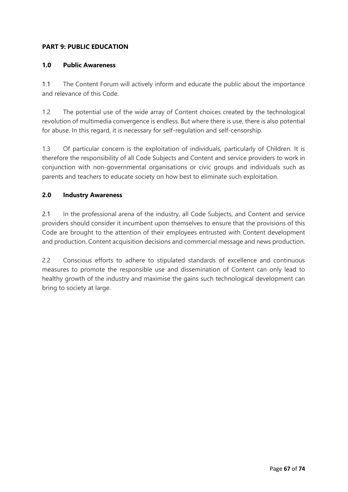# **PART 9: PUBLIC EDUCATION**

## **1.0 Public Awareness**

1.1 The Content Forum will actively inform and educate the public about the importance and relevance of this Code.

1.2 The potential use of the wide array of Content choices created by the technological revolution of multimedia convergence is endless. But where there is use, there is also potential for abuse. In this regard, it is necessary for self-regulation and self-censorship.

1.3 Of particular concern is the exploitation of individuals, particularly of Children. It is therefore the responsibility of all Code Subjects and Content and service providers to work in conjunction with non-governmental organisations or civic groups and individuals such as parents and teachers to educate society on how best to eliminate such exploitation.

#### **2.0 Industry Awareness**

2.1 In the professional arena of the industry, all Code Subjects, and Content and service providers should consider it incumbent upon themselves to ensure that the provisions of this Code are brought to the attention of their employees entrusted with Content development and production, Content acquisition decisions and commercial message and news production.

2.2 Conscious efforts to adhere to stipulated standards of excellence and continuous measures to promote the responsible use and dissemination of Content can only lead to healthy growth of the industry and maximise the gains such technological development can bring to society at large.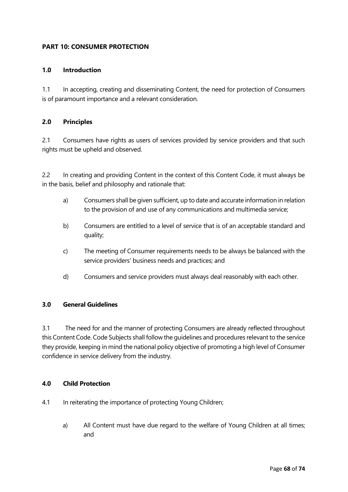# **PART 10: CONSUMER PROTECTION**

#### **1.0 Introduction**

1.1 In accepting, creating and disseminating Content, the need for protection of Consumers is of paramount importance and a relevant consideration.

#### **2.0 Principles**

2.1 Consumers have rights as users of services provided by service providers and that such rights must be upheld and observed.

2.2 In creating and providing Content in the context of this Content Code, it must always be in the basis, belief and philosophy and rationale that:

- a) Consumers shall be given sufficient, up to date and accurate information in relation to the provision of and use of any communications and multimedia service;
- b) Consumers are entitled to a level of service that is of an acceptable standard and quality;
- c) The meeting of Consumer requirements needs to be always be balanced with the service providers' business needs and practices; and
- d) Consumers and service providers must always deal reasonably with each other.

# **3.0 General Guidelines**

3.1 The need for and the manner of protecting Consumers are already reflected throughout this Content Code. Code Subjects shall follow the guidelines and procedures relevant to the service they provide, keeping in mind the national policy objective of promoting a high level of Consumer confidence in service delivery from the industry.

#### **4.0 Child Protection**

- 4.1 In reiterating the importance of protecting Young Children;
	- a) All Content must have due regard to the welfare of Young Children at all times; and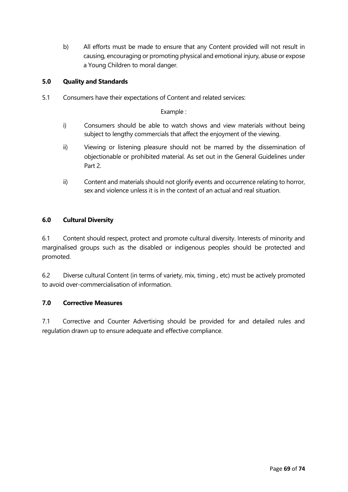b) All efforts must be made to ensure that any Content provided will not result in causing, encouraging or promoting physical and emotional injury, abuse or expose a Young Children to moral danger.

# **5.0 Quality and Standards**

5.1 Consumers have their expectations of Content and related services:

Example :

- i) Consumers should be able to watch shows and view materials without being subject to lengthy commercials that affect the enjoyment of the viewing.
- ii) Viewing or listening pleasure should not be marred by the dissemination of objectionable or prohibited material. As set out in the General Guidelines under Part 2.
- ii) Content and materials should not glorify events and occurrence relating to horror, sex and violence unless it is in the context of an actual and real situation.

#### **6.0 Cultural Diversity**

6.1 Content should respect, protect and promote cultural diversity. Interests of minority and marginalised groups such as the disabled or indigenous peoples should be protected and promoted.

6.2 Diverse cultural Content (in terms of variety, mix, timing , etc) must be actively promoted to avoid over-commercialisation of information.

#### **7.0 Corrective Measures**

7.1 Corrective and Counter Advertising should be provided for and detailed rules and regulation drawn up to ensure adequate and effective compliance.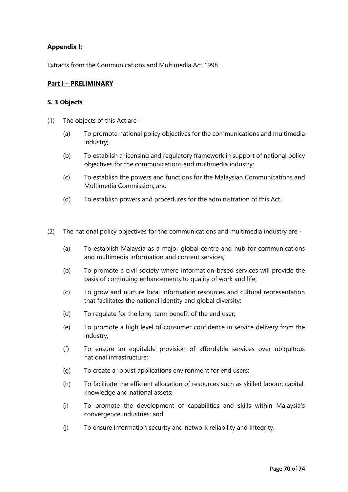## **Appendix I:**

Extracts from the Communications and Multimedia Act 1998

#### **Part I – PRELIMINARY**

#### **S. 3 Objects**

- (1) The objects of this Act are
	- (a) To promote national policy objectives for the communications and multimedia industry;
	- (b) To establish a licensing and regulatory framework in support of national policy objectives for the communications and multimedia industry;
	- (c) To establish the powers and functions for the Malaysian Communications and Multimedia Commission; and
	- (d) To establish powers and procedures for the administration of this Act.
- (2) The national policy objectives for the communications and multimedia industry are
	- (a) To establish Malaysia as a major global centre and hub for communications and multimedia information and content services;
	- (b) To promote a civil society where information-based services will provide the basis of continuing enhancements to quality of work and life;
	- (c) To grow and nurture local information resources and cultural representation that facilitates the national identity and global diversity;
	- (d) To regulate for the long-term benefit of the end user;
	- (e) To promote a high level of consumer confidence in service delivery from the industry;
	- (f) To ensure an equitable provision of affordable services over ubiquitous national infrastructure;
	- (g) To create a robust applications environment for end users;
	- (h) To facilitate the efficient allocation of resources such as skilled labour, capital, knowledge and national assets;
	- (i) To promote the development of capabilities and skills within Malaysia's convergence industries; and
	- (j) To ensure information security and network reliability and integrity.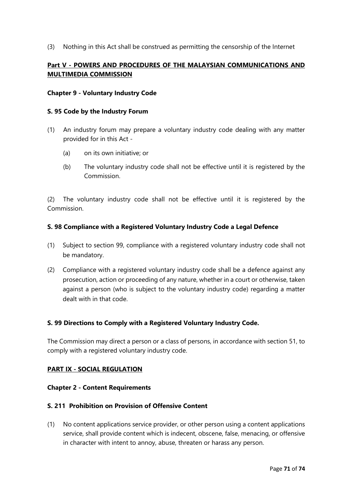(3) Nothing in this Act shall be construed as permitting the censorship of the Internet

# **Part V - POWERS AND PROCEDURES OF THE MALAYSIAN COMMUNICATIONS AND MULTIMEDIA COMMISSION**

#### **Chapter 9 - Voluntary Industry Code**

#### **S. 95 Code by the Industry Forum**

- (1) An industry forum may prepare a voluntary industry code dealing with any matter provided for in this Act -
	- (a) on its own initiative; or
	- (b) The voluntary industry code shall not be effective until it is registered by the Commission.

(2) The voluntary industry code shall not be effective until it is registered by the Commission.

#### **S. 98 Compliance with a Registered Voluntary Industry Code a Legal Defence**

- (1) Subject to section 99, compliance with a registered voluntary industry code shall not be mandatory.
- (2) Compliance with a registered voluntary industry code shall be a defence against any prosecution, action or proceeding of any nature, whether in a court or otherwise, taken against a person (who is subject to the voluntary industry code) regarding a matter dealt with in that code.

#### **S. 99 Directions to Comply with a Registered Voluntary Industry Code.**

The Commission may direct a person or a class of persons, in accordance with section 51, to comply with a registered voluntary industry code.

#### **PART IX - SOCIAL REGULATION**

#### **Chapter 2 - Content Requirements**

#### **S. 211 Prohibition on Provision of Offensive Content**

(1) No content applications service provider, or other person using a content applications service, shall provide content which is indecent, obscene, false, menacing, or offensive in character with intent to annoy, abuse, threaten or harass any person.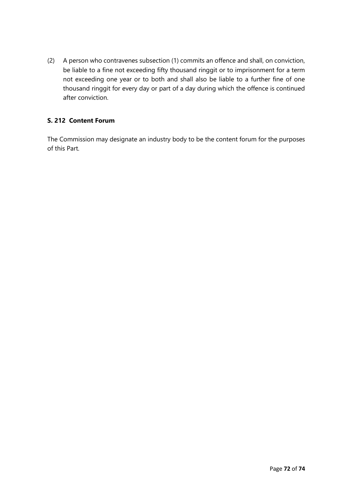(2) A person who contravenes subsection (1) commits an offence and shall, on conviction, be liable to a fine not exceeding fifty thousand ringgit or to imprisonment for a term not exceeding one year or to both and shall also be liable to a further fine of one thousand ringgit for every day or part of a day during which the offence is continued after conviction.

# **S. 212 Content Forum**

The Commission may designate an industry body to be the content forum for the purposes of this Part.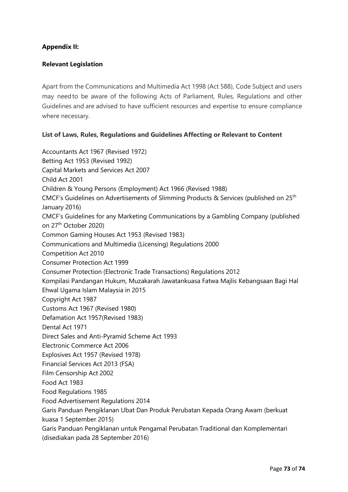## **Appendix II:**

## **Relevant Legislation**

Apart from the Communications and Multimedia Act 1998 (Act 588), Code Subject and users may needto be aware of the following Acts of Parliament, Rules, Regulations and other Guidelines and are advised to have sufficient resources and expertise to ensure compliance where necessary.

## **List of Laws, Rules, Regulations and Guidelines Affecting or Relevant to Content**

Accountants Act 1967 (Revised 1972) Betting Act 1953 (Revised 1992) Capital Markets and Services Act 2007 Child Act 2001 Children & Young Persons (Employment) Act 1966 (Revised 1988) CMCF's Guidelines on Advertisements of Slimming Products & Services (published on 25th January 2016) CMCF's Guidelines for any Marketing Communications by a Gambling Company (published on 27th October 2020) Common Gaming Houses Act 1953 (Revised 1983) Communications and Multimedia (Licensing) Regulations 2000 Competition Act 2010 Consumer Protection Act 1999 Consumer Protection (Electronic Trade Transactions) Regulations 2012 Kompilasi Pandangan Hukum, Muzakarah Jawatankuasa Fatwa Majlis Kebangsaan Bagi Hal Ehwal Ugama Islam Malaysia in 2015 Copyright Act 1987 Customs Act 1967 (Revised 1980) Defamation Act 1957(Revised 1983) Dental Act 1971 Direct Sales and Anti-Pyramid Scheme Act 1993 Electronic Commerce Act 2006 Explosives Act 1957 (Revised 1978) Financial Services Act 2013 (FSA) Film Censorship Act 2002 Food Act 1983 Food Regulations 1985 Food Advertisement Regulations 2014 Garis Panduan Pengiklanan Ubat Dan Produk Perubatan Kepada Orang Awam (berkuat kuasa 1 September 2015) Garis Panduan Pengiklanan untuk Pengamal Perubatan Traditional dan Komplementari (disediakan pada 28 September 2016)